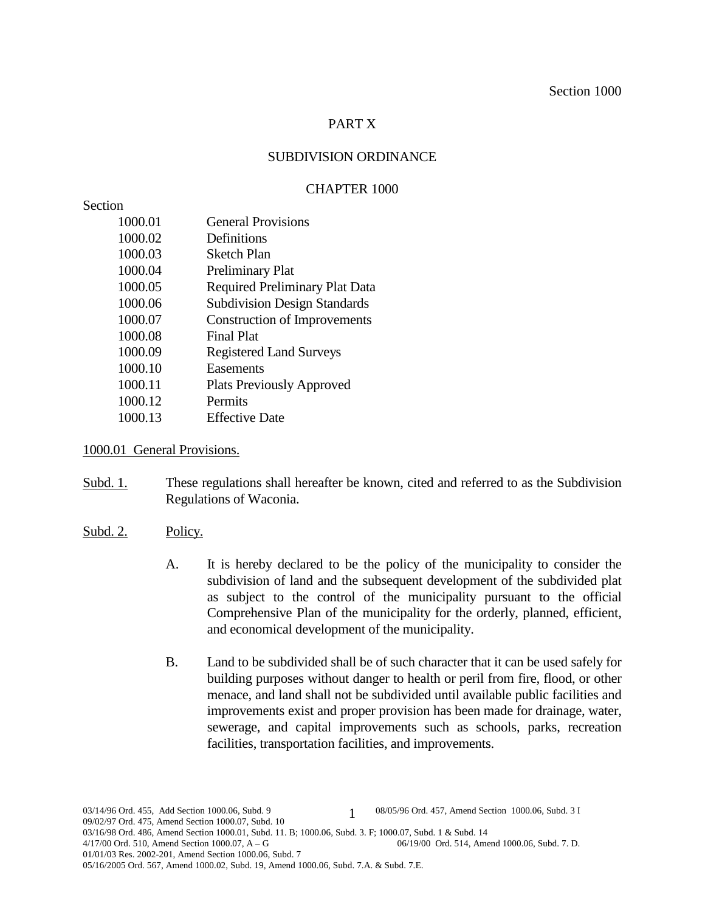# PART X

# SUBDIVISION ORDINANCE

# CHAPTER 1000

# **Section**

| 1000.01 | <b>General Provisions</b>             |
|---------|---------------------------------------|
| 1000.02 | Definitions                           |
| 1000.03 | <b>Sketch Plan</b>                    |
| 1000.04 | <b>Preliminary Plat</b>               |
| 1000.05 | <b>Required Preliminary Plat Data</b> |
| 1000.06 | <b>Subdivision Design Standards</b>   |
| 1000.07 | <b>Construction of Improvements</b>   |
| 1000.08 | <b>Final Plat</b>                     |
| 1000.09 | <b>Registered Land Surveys</b>        |
| 1000.10 | Easements                             |
| 1000.11 | <b>Plats Previously Approved</b>      |
| 1000.12 | Permits                               |
| 1000.13 | <b>Effective Date</b>                 |
|         |                                       |

## 1000.01 General Provisions.

- Subd. 1. These regulations shall hereafter be known, cited and referred to as the Subdivision Regulations of Waconia.
- Subd. 2. Policy.
	- A. It is hereby declared to be the policy of the municipality to consider the subdivision of land and the subsequent development of the subdivided plat as subject to the control of the municipality pursuant to the official Comprehensive Plan of the municipality for the orderly, planned, efficient, and economical development of the municipality.
	- B. Land to be subdivided shall be of such character that it can be used safely for building purposes without danger to health or peril from fire, flood, or other menace, and land shall not be subdivided until available public facilities and improvements exist and proper provision has been made for drainage, water, sewerage, and capital improvements such as schools, parks, recreation facilities, transportation facilities, and improvements.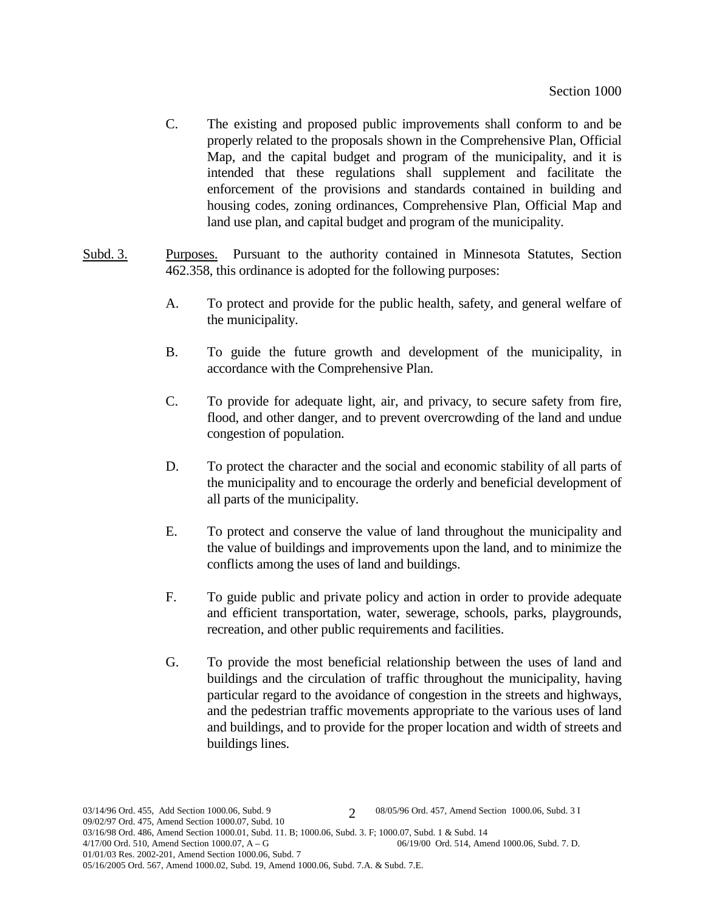- C. The existing and proposed public improvements shall conform to and be properly related to the proposals shown in the Comprehensive Plan, Official Map, and the capital budget and program of the municipality, and it is intended that these regulations shall supplement and facilitate the enforcement of the provisions and standards contained in building and housing codes, zoning ordinances, Comprehensive Plan, Official Map and land use plan, and capital budget and program of the municipality.
- Subd. 3. Purposes. Pursuant to the authority contained in Minnesota Statutes, Section 462.358, this ordinance is adopted for the following purposes:
	- A. To protect and provide for the public health, safety, and general welfare of the municipality.
	- B. To guide the future growth and development of the municipality, in accordance with the Comprehensive Plan.
	- C. To provide for adequate light, air, and privacy, to secure safety from fire, flood, and other danger, and to prevent overcrowding of the land and undue congestion of population.
	- D. To protect the character and the social and economic stability of all parts of the municipality and to encourage the orderly and beneficial development of all parts of the municipality.
	- E. To protect and conserve the value of land throughout the municipality and the value of buildings and improvements upon the land, and to minimize the conflicts among the uses of land and buildings.
	- F. To guide public and private policy and action in order to provide adequate and efficient transportation, water, sewerage, schools, parks, playgrounds, recreation, and other public requirements and facilities.
	- G. To provide the most beneficial relationship between the uses of land and buildings and the circulation of traffic throughout the municipality, having particular regard to the avoidance of congestion in the streets and highways, and the pedestrian traffic movements appropriate to the various uses of land and buildings, and to provide for the proper location and width of streets and buildings lines.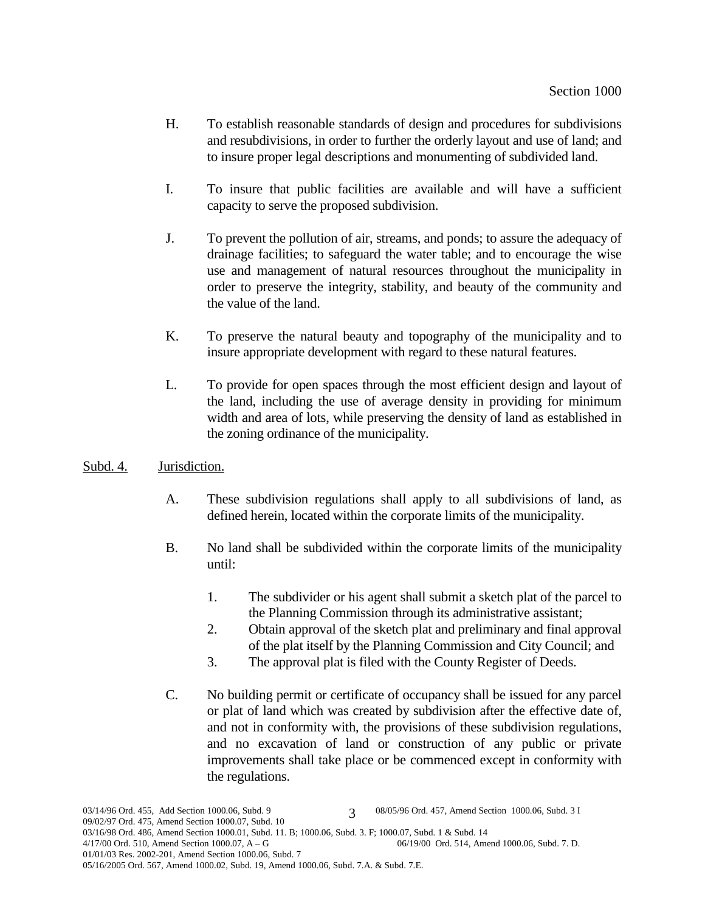- H. To establish reasonable standards of design and procedures for subdivisions and resubdivisions, in order to further the orderly layout and use of land; and to insure proper legal descriptions and monumenting of subdivided land.
- I. To insure that public facilities are available and will have a sufficient capacity to serve the proposed subdivision.
- J. To prevent the pollution of air, streams, and ponds; to assure the adequacy of drainage facilities; to safeguard the water table; and to encourage the wise use and management of natural resources throughout the municipality in order to preserve the integrity, stability, and beauty of the community and the value of the land.
- K. To preserve the natural beauty and topography of the municipality and to insure appropriate development with regard to these natural features.
- L. To provide for open spaces through the most efficient design and layout of the land, including the use of average density in providing for minimum width and area of lots, while preserving the density of land as established in the zoning ordinance of the municipality.

# Subd. 4. Jurisdiction.

- A. These subdivision regulations shall apply to all subdivisions of land, as defined herein, located within the corporate limits of the municipality.
- B. No land shall be subdivided within the corporate limits of the municipality until:
	- 1. The subdivider or his agent shall submit a sketch plat of the parcel to the Planning Commission through its administrative assistant;
	- 2. Obtain approval of the sketch plat and preliminary and final approval of the plat itself by the Planning Commission and City Council; and
	- 3. The approval plat is filed with the County Register of Deeds.
- C. No building permit or certificate of occupancy shall be issued for any parcel or plat of land which was created by subdivision after the effective date of, and not in conformity with, the provisions of these subdivision regulations, and no excavation of land or construction of any public or private improvements shall take place or be commenced except in conformity with the regulations.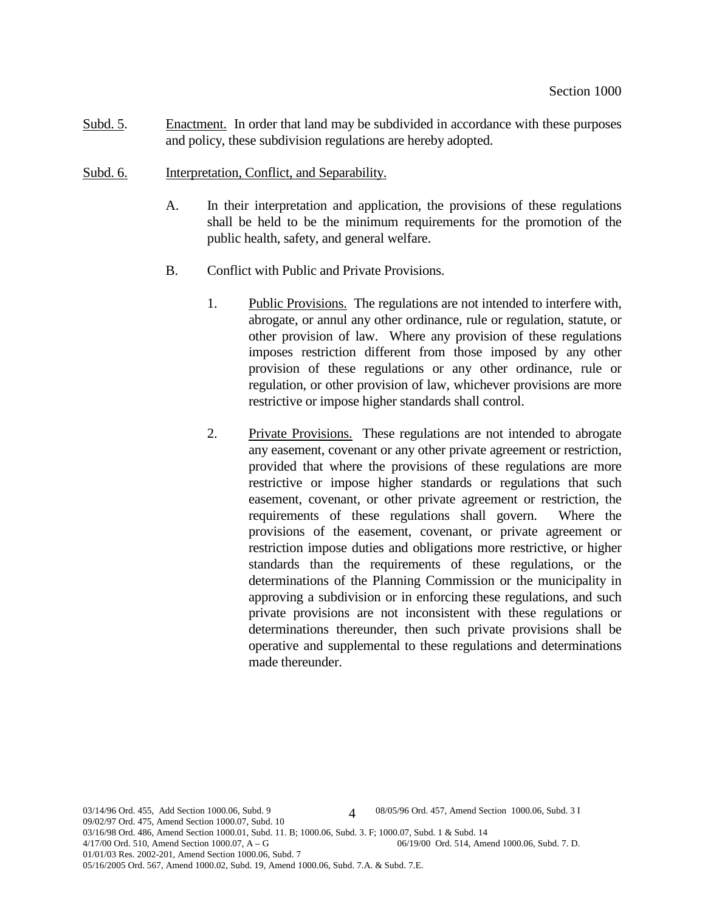- Subd. 5. Enactment. In order that land may be subdivided in accordance with these purposes and policy, these subdivision regulations are hereby adopted.
- Subd. 6. Interpretation, Conflict, and Separability.
	- A. In their interpretation and application, the provisions of these regulations shall be held to be the minimum requirements for the promotion of the public health, safety, and general welfare.
	- B. Conflict with Public and Private Provisions.
		- 1. Public Provisions. The regulations are not intended to interfere with, abrogate, or annul any other ordinance, rule or regulation, statute, or other provision of law. Where any provision of these regulations imposes restriction different from those imposed by any other provision of these regulations or any other ordinance, rule or regulation, or other provision of law, whichever provisions are more restrictive or impose higher standards shall control.
		- 2. Private Provisions. These regulations are not intended to abrogate any easement, covenant or any other private agreement or restriction, provided that where the provisions of these regulations are more restrictive or impose higher standards or regulations that such easement, covenant, or other private agreement or restriction, the requirements of these regulations shall govern. Where the provisions of the easement, covenant, or private agreement or restriction impose duties and obligations more restrictive, or higher standards than the requirements of these regulations, or the determinations of the Planning Commission or the municipality in approving a subdivision or in enforcing these regulations, and such private provisions are not inconsistent with these regulations or determinations thereunder, then such private provisions shall be operative and supplemental to these regulations and determinations made thereunder.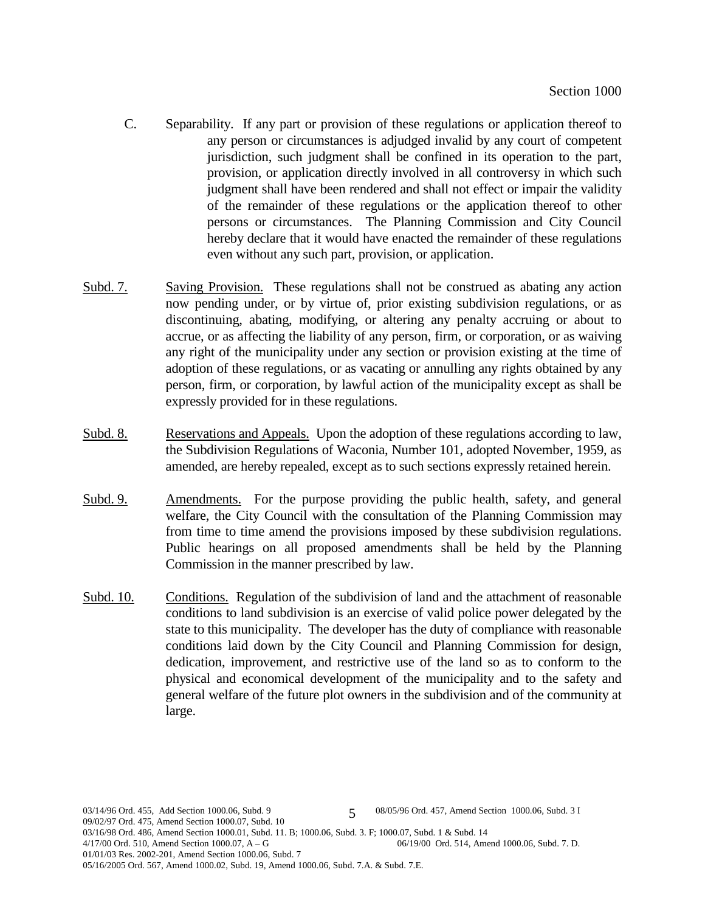- C. Separability. If any part or provision of these regulations or application thereof to any person or circumstances is adjudged invalid by any court of competent jurisdiction, such judgment shall be confined in its operation to the part, provision, or application directly involved in all controversy in which such judgment shall have been rendered and shall not effect or impair the validity of the remainder of these regulations or the application thereof to other persons or circumstances. The Planning Commission and City Council hereby declare that it would have enacted the remainder of these regulations even without any such part, provision, or application.
- Subd. 7. Saving Provision. These regulations shall not be construed as abating any action now pending under, or by virtue of, prior existing subdivision regulations, or as discontinuing, abating, modifying, or altering any penalty accruing or about to accrue, or as affecting the liability of any person, firm, or corporation, or as waiving any right of the municipality under any section or provision existing at the time of adoption of these regulations, or as vacating or annulling any rights obtained by any person, firm, or corporation, by lawful action of the municipality except as shall be expressly provided for in these regulations.
- Subd. 8. Reservations and Appeals. Upon the adoption of these regulations according to law, the Subdivision Regulations of Waconia, Number 101, adopted November, 1959, as amended, are hereby repealed, except as to such sections expressly retained herein.
- Subd. 9. Amendments. For the purpose providing the public health, safety, and general welfare, the City Council with the consultation of the Planning Commission may from time to time amend the provisions imposed by these subdivision regulations. Public hearings on all proposed amendments shall be held by the Planning Commission in the manner prescribed by law.
- Subd. 10. Conditions. Regulation of the subdivision of land and the attachment of reasonable conditions to land subdivision is an exercise of valid police power delegated by the state to this municipality. The developer has the duty of compliance with reasonable conditions laid down by the City Council and Planning Commission for design, dedication, improvement, and restrictive use of the land so as to conform to the physical and economical development of the municipality and to the safety and general welfare of the future plot owners in the subdivision and of the community at large.

03/14/96 Ord. 455, Add Section 1000.06, Subd. 9  $\qquad 68/05/96$  Ord. 457, Amend Section 1000.06, Subd. 3 I 09/02/97 Ord. 475, Amend Section 1000.07, Subd. 10 03/16/98 Ord. 486, Amend Section 1000.01, Subd. 11. B; 1000.06, Subd. 3. F; 1000.07, Subd. 1 & Subd. 14<br>4/17/00 Ord. 510, Amend Section 1000.07, A – G<br>06/19/00 Ord. 514, Amend 1000.06, Subd. 7. D. 4/17/00 Ord. 510, Amend Section 1000.07,  $A - G$ 01/01/03 Res. 2002-201, Amend Section 1000.06, Subd. 7 05/16/2005 Ord. 567, Amend 1000.02, Subd. 19, Amend 1000.06, Subd. 7.A. & Subd. 7.E. 5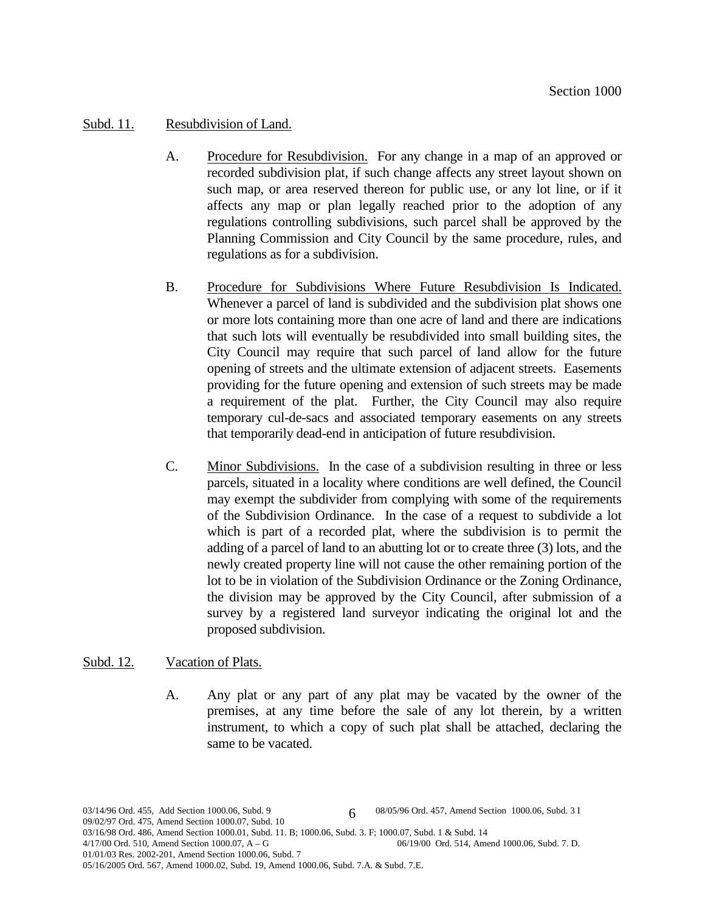### Subd. 11. Resubdivision of Land.

- A. Procedure for Resubdivision. For any change in a map of an approved or recorded subdivision plat, if such change affects any street layout shown on such map, or area reserved thereon for public use, or any lot line, or if it affects any map or plan legally reached prior to the adoption of any regulations controlling subdivisions, such parcel shall be approved by the Planning Commission and City Council by the same procedure, rules, and regulations as for a subdivision.
- B. Procedure for Subdivisions Where Future Resubdivision Is Indicated. Whenever a parcel of land is subdivided and the subdivision plat shows one or more lots containing more than one acre of land and there are indications that such lots will eventually be resubdivided into small building sites, the City Council may require that such parcel of land allow for the future opening of streets and the ultimate extension of adjacent streets. Easements providing for the future opening and extension of such streets may be made a requirement of the plat. Further, the City Council may also require temporary cul-de-sacs and associated temporary easements on any streets that temporarily dead-end in anticipation of future resubdivision.
- C. Minor Subdivisions. In the case of a subdivision resulting in three or less parcels, situated in a locality where conditions are well defined, the Council may exempt the subdivider from complying with some of the requirements of the Subdivision Ordinance. In the case of a request to subdivide a lot which is part of a recorded plat, where the subdivision is to permit the adding of a parcel of land to an abutting lot or to create three (3) lots, and the newly created property line will not cause the other remaining portion of the lot to be in violation of the Subdivision Ordinance or the Zoning Ordinance, the division may be approved by the City Council, after submission of a survey by a registered land surveyor indicating the original lot and the proposed subdivision.

#### Subd. 12. Vacation of Plats.

A. Any plat or any part of any plat may be vacated by the owner of the premises, at any time before the sale of any lot therein, by a written instrument, to which a copy of such plat shall be attached, declaring the same to be vacated.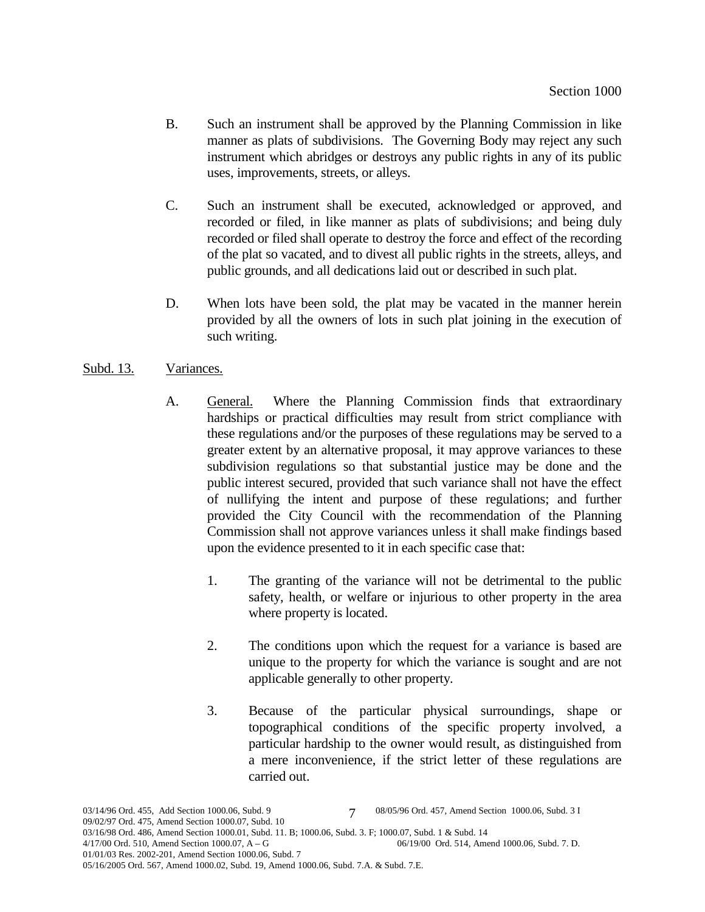- B. Such an instrument shall be approved by the Planning Commission in like manner as plats of subdivisions. The Governing Body may reject any such instrument which abridges or destroys any public rights in any of its public uses, improvements, streets, or alleys.
- C. Such an instrument shall be executed, acknowledged or approved, and recorded or filed, in like manner as plats of subdivisions; and being duly recorded or filed shall operate to destroy the force and effect of the recording of the plat so vacated, and to divest all public rights in the streets, alleys, and public grounds, and all dedications laid out or described in such plat.
- D. When lots have been sold, the plat may be vacated in the manner herein provided by all the owners of lots in such plat joining in the execution of such writing.

# Subd. 13. Variances.

- A. General. Where the Planning Commission finds that extraordinary hardships or practical difficulties may result from strict compliance with these regulations and/or the purposes of these regulations may be served to a greater extent by an alternative proposal, it may approve variances to these subdivision regulations so that substantial justice may be done and the public interest secured, provided that such variance shall not have the effect of nullifying the intent and purpose of these regulations; and further provided the City Council with the recommendation of the Planning Commission shall not approve variances unless it shall make findings based upon the evidence presented to it in each specific case that:
	- 1. The granting of the variance will not be detrimental to the public safety, health, or welfare or injurious to other property in the area where property is located.
	- 2. The conditions upon which the request for a variance is based are unique to the property for which the variance is sought and are not applicable generally to other property.
	- 3. Because of the particular physical surroundings, shape or topographical conditions of the specific property involved, a particular hardship to the owner would result, as distinguished from a mere inconvenience, if the strict letter of these regulations are carried out.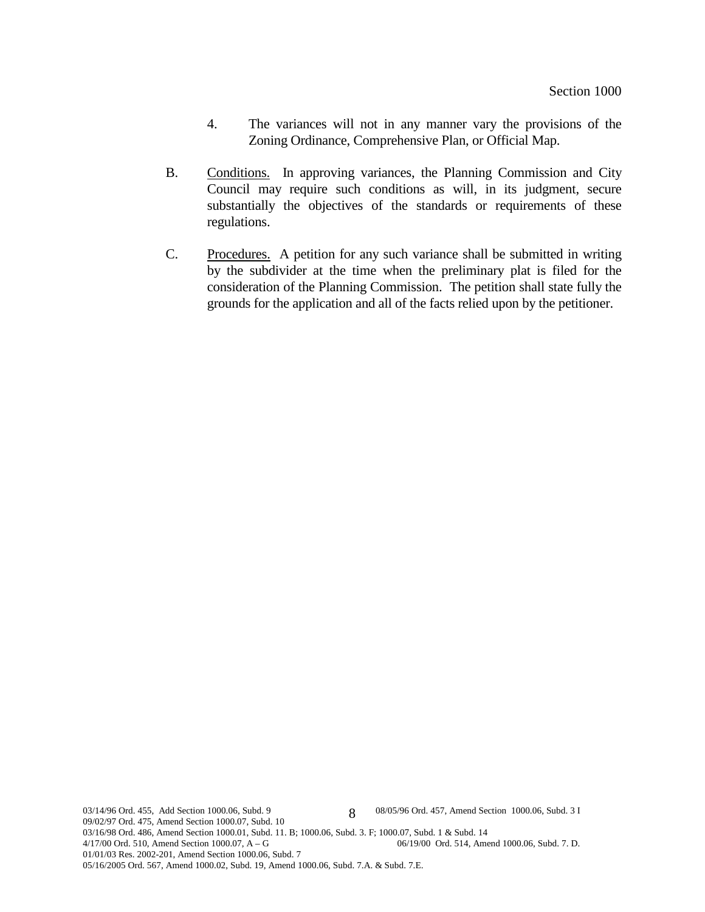- 4. The variances will not in any manner vary the provisions of the Zoning Ordinance, Comprehensive Plan, or Official Map.
- B. Conditions. In approving variances, the Planning Commission and City Council may require such conditions as will, in its judgment, secure substantially the objectives of the standards or requirements of these regulations.
- C. Procedures. A petition for any such variance shall be submitted in writing by the subdivider at the time when the preliminary plat is filed for the consideration of the Planning Commission. The petition shall state fully the grounds for the application and all of the facts relied upon by the petitioner.

03/14/96 Ord. 455, Add Section 1000.06, Subd. 9 08/05/96 Ord. 457, Amend Section 1000.06, Subd. 3 I 09/02/97 Ord. 475, Amend Section 1000.07, Subd. 10 03/16/98 Ord. 486, Amend Section 1000.01, Subd. 11. B; 1000.06, Subd. 3. F; 1000.07, Subd. 1 & Subd. 14  $4/17/00$  Ord. 510, Amend Section 1000.07, A – G 06/19/00 Ord. 514, Amend 06/19/00 Ord. 514, Amend 1000.06, Subd. 7. D. 01/01/03 Res. 2002-201, Amend Section 1000.06, Subd. 7 05/16/2005 Ord. 567, Amend 1000.02, Subd. 19, Amend 1000.06, Subd. 7.A. & Subd. 7.E. 8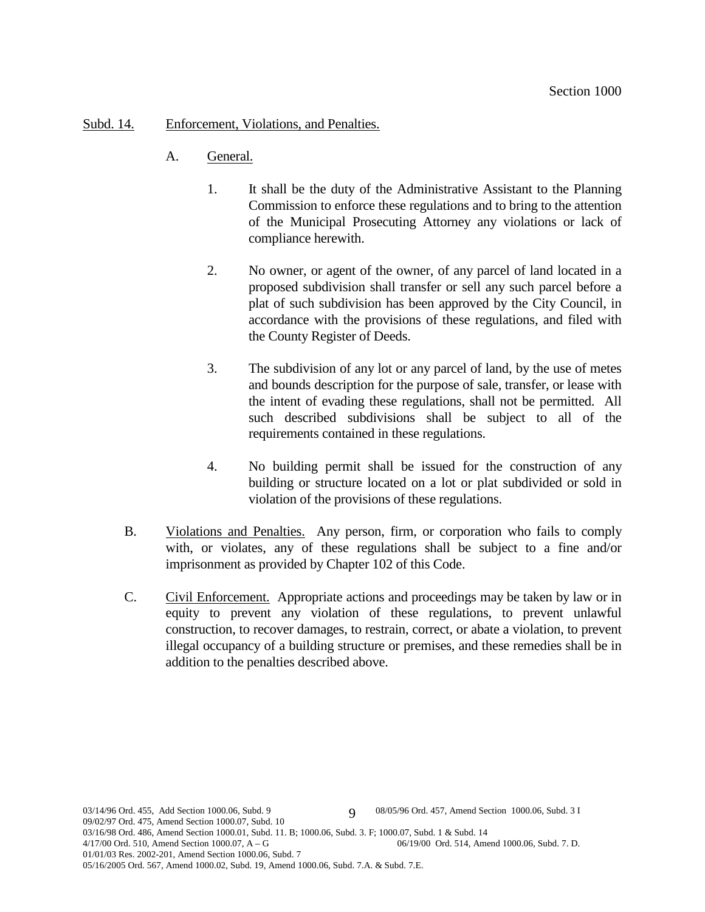## Subd. 14. Enforcement, Violations, and Penalties.

- A. General.
	- 1. It shall be the duty of the Administrative Assistant to the Planning Commission to enforce these regulations and to bring to the attention of the Municipal Prosecuting Attorney any violations or lack of compliance herewith.
	- 2. No owner, or agent of the owner, of any parcel of land located in a proposed subdivision shall transfer or sell any such parcel before a plat of such subdivision has been approved by the City Council, in accordance with the provisions of these regulations, and filed with the County Register of Deeds.
	- 3. The subdivision of any lot or any parcel of land, by the use of metes and bounds description for the purpose of sale, transfer, or lease with the intent of evading these regulations, shall not be permitted. All such described subdivisions shall be subject to all of the requirements contained in these regulations.
	- 4. No building permit shall be issued for the construction of any building or structure located on a lot or plat subdivided or sold in violation of the provisions of these regulations.
- B. Violations and Penalties. Any person, firm, or corporation who fails to comply with, or violates, any of these regulations shall be subject to a fine and/or imprisonment as provided by Chapter 102 of this Code.
- C. Civil Enforcement. Appropriate actions and proceedings may be taken by law or in equity to prevent any violation of these regulations, to prevent unlawful construction, to recover damages, to restrain, correct, or abate a violation, to prevent illegal occupancy of a building structure or premises, and these remedies shall be in addition to the penalties described above.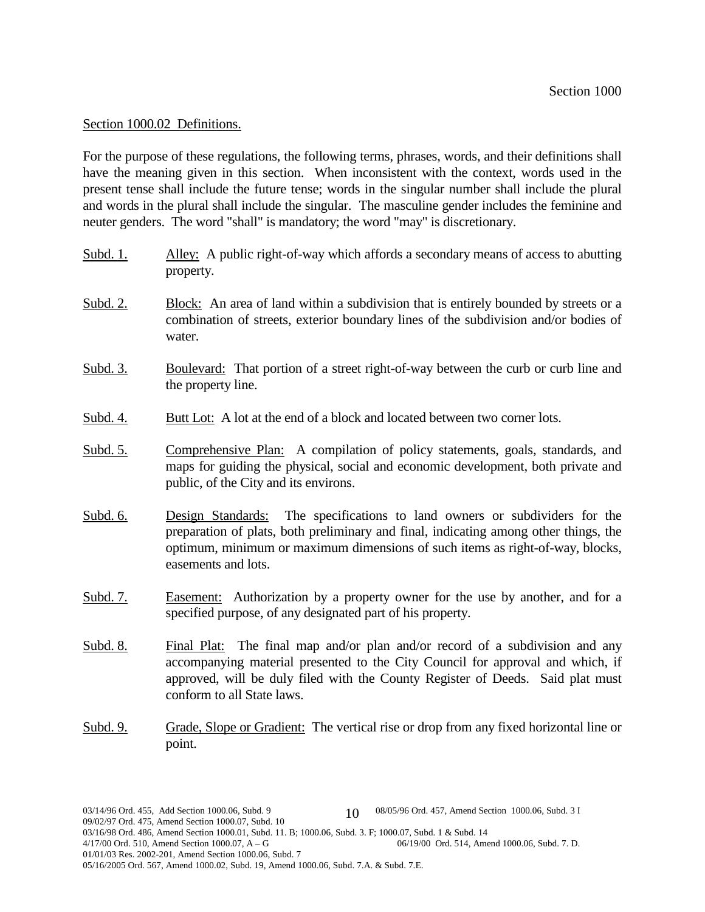#### Section 1000.02 Definitions.

For the purpose of these regulations, the following terms, phrases, words, and their definitions shall have the meaning given in this section. When inconsistent with the context, words used in the present tense shall include the future tense; words in the singular number shall include the plural and words in the plural shall include the singular. The masculine gender includes the feminine and neuter genders. The word "shall" is mandatory; the word "may" is discretionary.

- Subd. 1. Alley: A public right-of-way which affords a secondary means of access to abutting property.
- Subd. 2. Block: An area of land within a subdivision that is entirely bounded by streets or a combination of streets, exterior boundary lines of the subdivision and/or bodies of water.
- Subd. 3. Boulevard: That portion of a street right-of-way between the curb or curb line and the property line.
- Subd. 4. Butt Lot: A lot at the end of a block and located between two corner lots.
- Subd. 5. Comprehensive Plan: A compilation of policy statements, goals, standards, and maps for guiding the physical, social and economic development, both private and public, of the City and its environs.
- Subd. 6. Design Standards: The specifications to land owners or subdividers for the preparation of plats, both preliminary and final, indicating among other things, the optimum, minimum or maximum dimensions of such items as right-of-way, blocks, easements and lots.
- Subd. 7. Easement: Authorization by a property owner for the use by another, and for a specified purpose, of any designated part of his property.
- Subd. 8. Final Plat: The final map and/or plan and/or record of a subdivision and any accompanying material presented to the City Council for approval and which, if approved, will be duly filed with the County Register of Deeds. Said plat must conform to all State laws.
- Subd. 9. Grade, Slope or Gradient: The vertical rise or drop from any fixed horizontal line or point.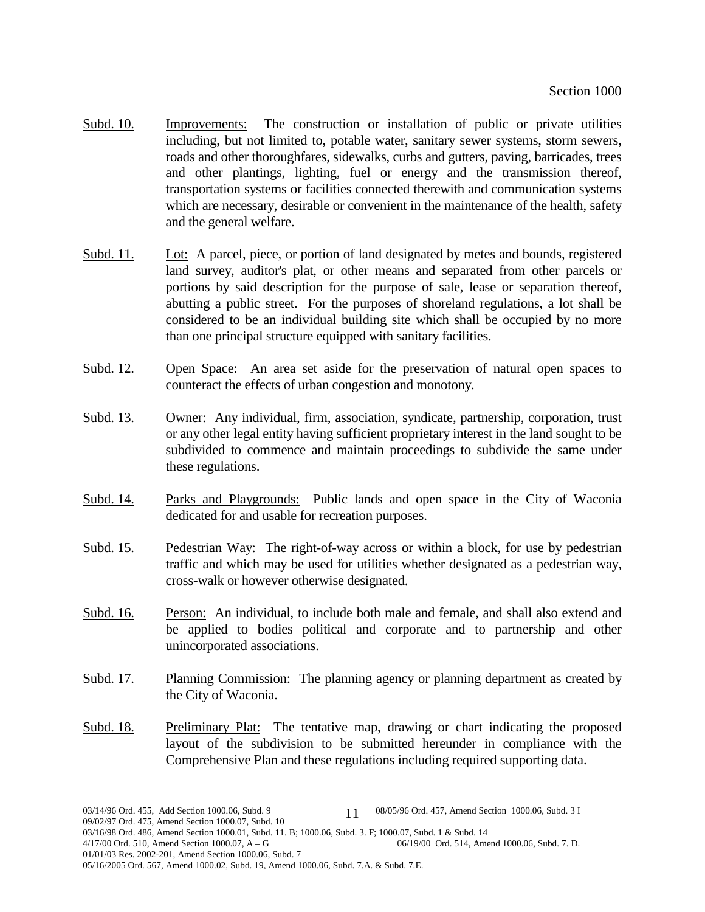- Subd. 10. Improvements: The construction or installation of public or private utilities including, but not limited to, potable water, sanitary sewer systems, storm sewers, roads and other thoroughfares, sidewalks, curbs and gutters, paving, barricades, trees and other plantings, lighting, fuel or energy and the transmission thereof, transportation systems or facilities connected therewith and communication systems which are necessary, desirable or convenient in the maintenance of the health, safety and the general welfare.
- Subd. 11. Lot: A parcel, piece, or portion of land designated by metes and bounds, registered land survey, auditor's plat, or other means and separated from other parcels or portions by said description for the purpose of sale, lease or separation thereof, abutting a public street. For the purposes of shoreland regulations, a lot shall be considered to be an individual building site which shall be occupied by no more than one principal structure equipped with sanitary facilities.
- Subd. 12. Open Space: An area set aside for the preservation of natural open spaces to counteract the effects of urban congestion and monotony.
- Subd. 13. Owner: Any individual, firm, association, syndicate, partnership, corporation, trust or any other legal entity having sufficient proprietary interest in the land sought to be subdivided to commence and maintain proceedings to subdivide the same under these regulations.
- Subd. 14. Parks and Playgrounds: Public lands and open space in the City of Waconia dedicated for and usable for recreation purposes.
- Subd. 15. Pedestrian Way: The right-of-way across or within a block, for use by pedestrian traffic and which may be used for utilities whether designated as a pedestrian way, cross-walk or however otherwise designated.
- Subd. 16. Person: An individual, to include both male and female, and shall also extend and be applied to bodies political and corporate and to partnership and other unincorporated associations.
- Subd. 17. Planning Commission: The planning agency or planning department as created by the City of Waconia.
- Subd. 18. Preliminary Plat: The tentative map, drawing or chart indicating the proposed layout of the subdivision to be submitted hereunder in compliance with the Comprehensive Plan and these regulations including required supporting data.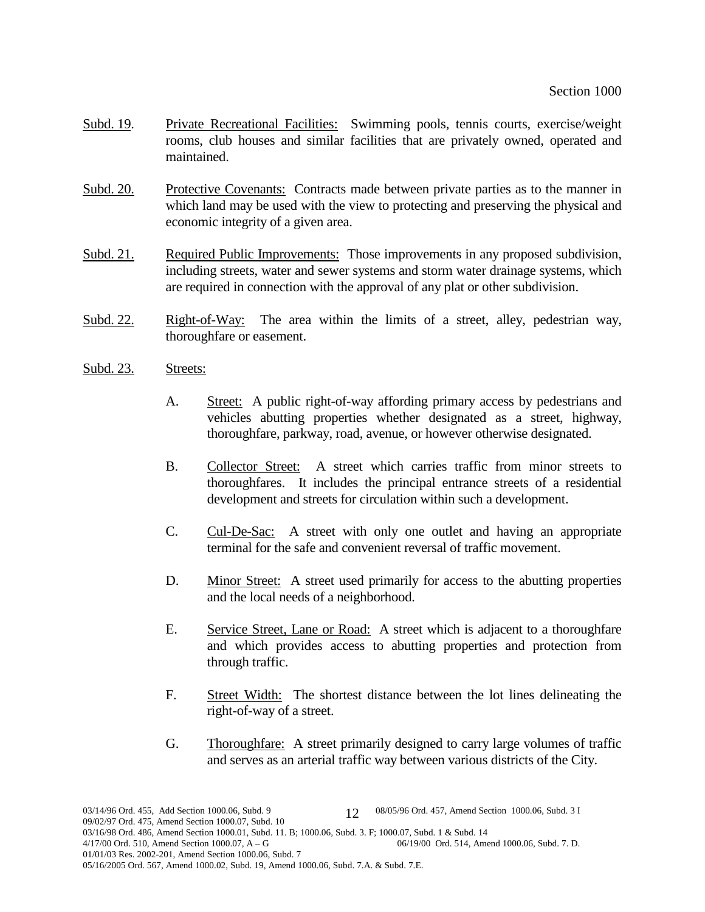- Subd. 19. Private Recreational Facilities: Swimming pools, tennis courts, exercise/weight rooms, club houses and similar facilities that are privately owned, operated and maintained.
- Subd. 20. Protective Covenants: Contracts made between private parties as to the manner in which land may be used with the view to protecting and preserving the physical and economic integrity of a given area.
- Subd. 21. Required Public Improvements: Those improvements in any proposed subdivision, including streets, water and sewer systems and storm water drainage systems, which are required in connection with the approval of any plat or other subdivision.
- Subd. 22. Right-of-Way: The area within the limits of a street, alley, pedestrian way, thoroughfare or easement.
- Subd. 23. Streets:
	- A. Street: A public right-of-way affording primary access by pedestrians and vehicles abutting properties whether designated as a street, highway, thoroughfare, parkway, road, avenue, or however otherwise designated.
	- B. Collector Street: A street which carries traffic from minor streets to thoroughfares. It includes the principal entrance streets of a residential development and streets for circulation within such a development.
	- C. Cul-De-Sac: A street with only one outlet and having an appropriate terminal for the safe and convenient reversal of traffic movement.
	- D. Minor Street: A street used primarily for access to the abutting properties and the local needs of a neighborhood.
	- E. Service Street, Lane or Road: A street which is adjacent to a thoroughfare and which provides access to abutting properties and protection from through traffic.
	- F. Street Width: The shortest distance between the lot lines delineating the right-of-way of a street.
	- G. Thoroughfare: A street primarily designed to carry large volumes of traffic and serves as an arterial traffic way between various districts of the City.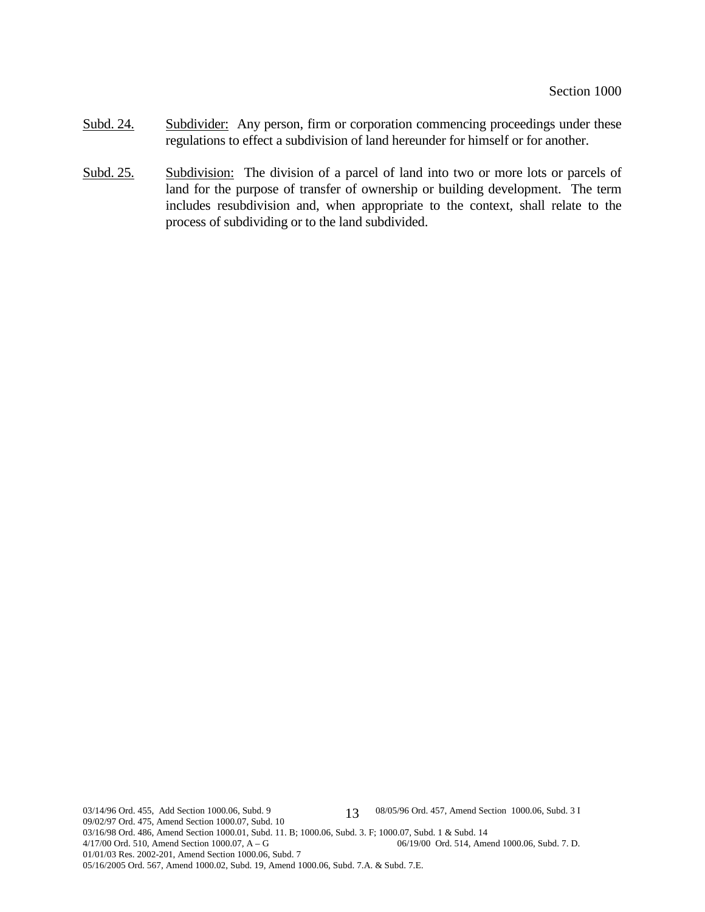- Subd. 24. Subdivider: Any person, firm or corporation commencing proceedings under these regulations to effect a subdivision of land hereunder for himself or for another.
- Subd. 25. Subdivision: The division of a parcel of land into two or more lots or parcels of land for the purpose of transfer of ownership or building development. The term includes resubdivision and, when appropriate to the context, shall relate to the process of subdividing or to the land subdivided.

03/14/96 Ord. 455, Add Section 1000.06, Subd. 9 13 08/05/96 Ord. 457, Amend Section 1000.06, Subd. 3 I 09/02/97 Ord. 475, Amend Section 1000.07, Subd. 10 03/16/98 Ord. 486, Amend Section 1000.01, Subd. 11. B; 1000.06, Subd. 3. F; 1000.07, Subd. 1 & Subd. 14<br>4/17/00 Ord. 510, Amend Section 1000.07, A – G<br>06/19/00 Ord. 514, Amend 1000.06, Subd. 7. D. 4/17/00 Ord. 510, Amend Section 1000.07,  $A - G$ 01/01/03 Res. 2002-201, Amend Section 1000.06, Subd. 7 05/16/2005 Ord. 567, Amend 1000.02, Subd. 19, Amend 1000.06, Subd. 7.A. & Subd. 7.E. 13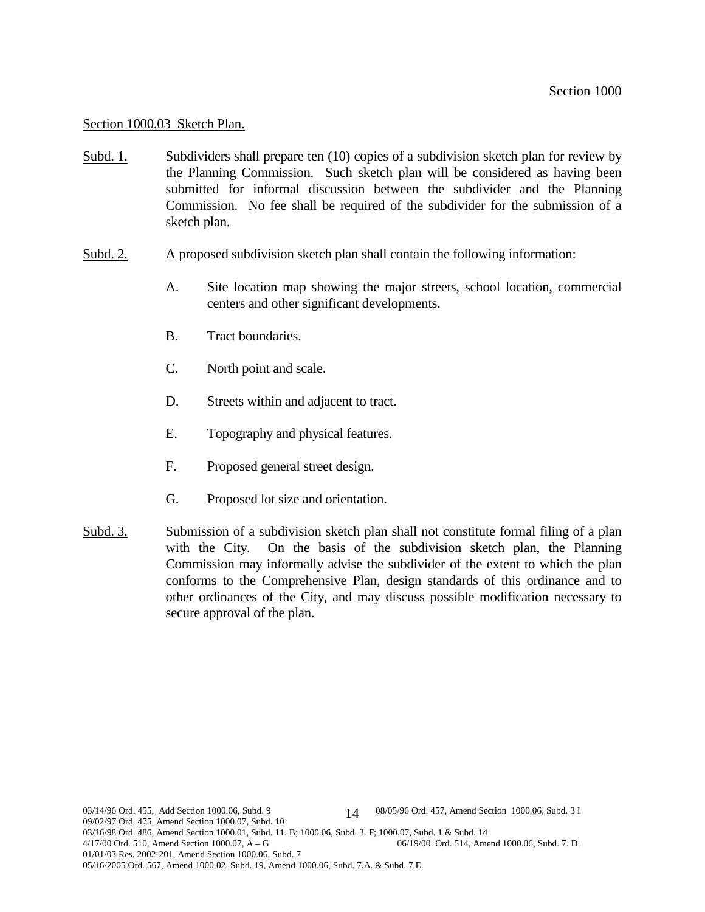#### Section 1000.03 Sketch Plan.

- Subd. 1. Subdividers shall prepare ten (10) copies of a subdivision sketch plan for review by the Planning Commission. Such sketch plan will be considered as having been submitted for informal discussion between the subdivider and the Planning Commission. No fee shall be required of the subdivider for the submission of a sketch plan.
- Subd. 2. A proposed subdivision sketch plan shall contain the following information:
	- A. Site location map showing the major streets, school location, commercial centers and other significant developments.
	- B. Tract boundaries.
	- C. North point and scale.
	- D. Streets within and adjacent to tract.
	- E. Topography and physical features.
	- F. Proposed general street design.
	- G. Proposed lot size and orientation.
- Subd. 3. Submission of a subdivision sketch plan shall not constitute formal filing of a plan with the City. On the basis of the subdivision sketch plan, the Planning Commission may informally advise the subdivider of the extent to which the plan conforms to the Comprehensive Plan, design standards of this ordinance and to other ordinances of the City, and may discuss possible modification necessary to secure approval of the plan.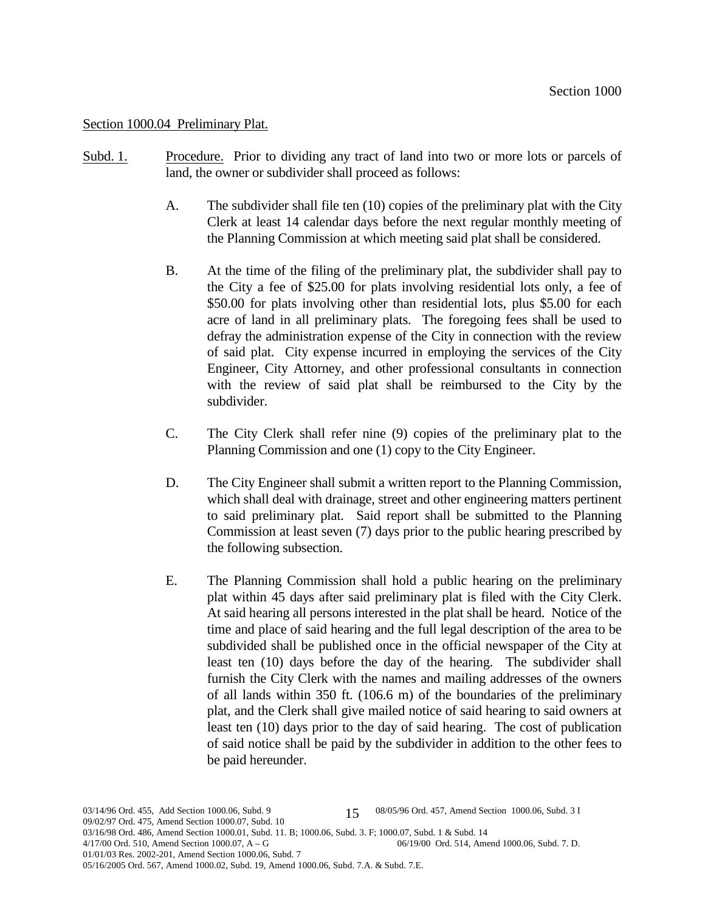#### Section 1000.04 Preliminary Plat.

- Subd. 1. Procedure. Prior to dividing any tract of land into two or more lots or parcels of land, the owner or subdivider shall proceed as follows:
	- A. The subdivider shall file ten (10) copies of the preliminary plat with the City Clerk at least 14 calendar days before the next regular monthly meeting of the Planning Commission at which meeting said plat shall be considered.
	- B. At the time of the filing of the preliminary plat, the subdivider shall pay to the City a fee of \$25.00 for plats involving residential lots only, a fee of \$50.00 for plats involving other than residential lots, plus \$5.00 for each acre of land in all preliminary plats. The foregoing fees shall be used to defray the administration expense of the City in connection with the review of said plat. City expense incurred in employing the services of the City Engineer, City Attorney, and other professional consultants in connection with the review of said plat shall be reimbursed to the City by the subdivider.
	- C. The City Clerk shall refer nine (9) copies of the preliminary plat to the Planning Commission and one (1) copy to the City Engineer.
	- D. The City Engineer shall submit a written report to the Planning Commission, which shall deal with drainage, street and other engineering matters pertinent to said preliminary plat. Said report shall be submitted to the Planning Commission at least seven (7) days prior to the public hearing prescribed by the following subsection.
	- E. The Planning Commission shall hold a public hearing on the preliminary plat within 45 days after said preliminary plat is filed with the City Clerk. At said hearing all persons interested in the plat shall be heard. Notice of the time and place of said hearing and the full legal description of the area to be subdivided shall be published once in the official newspaper of the City at least ten (10) days before the day of the hearing. The subdivider shall furnish the City Clerk with the names and mailing addresses of the owners of all lands within 350 ft. (106.6 m) of the boundaries of the preliminary plat, and the Clerk shall give mailed notice of said hearing to said owners at least ten (10) days prior to the day of said hearing. The cost of publication of said notice shall be paid by the subdivider in addition to the other fees to be paid hereunder.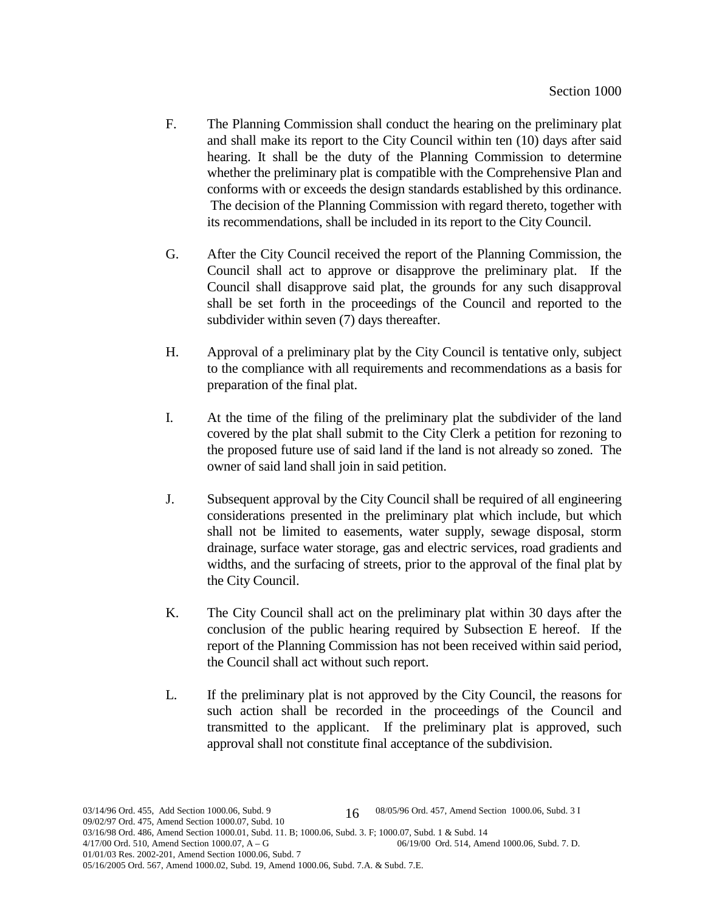- F. The Planning Commission shall conduct the hearing on the preliminary plat and shall make its report to the City Council within ten (10) days after said hearing. It shall be the duty of the Planning Commission to determine whether the preliminary plat is compatible with the Comprehensive Plan and conforms with or exceeds the design standards established by this ordinance. The decision of the Planning Commission with regard thereto, together with its recommendations, shall be included in its report to the City Council.
- G. After the City Council received the report of the Planning Commission, the Council shall act to approve or disapprove the preliminary plat. If the Council shall disapprove said plat, the grounds for any such disapproval shall be set forth in the proceedings of the Council and reported to the subdivider within seven (7) days thereafter.
- H. Approval of a preliminary plat by the City Council is tentative only, subject to the compliance with all requirements and recommendations as a basis for preparation of the final plat.
- I. At the time of the filing of the preliminary plat the subdivider of the land covered by the plat shall submit to the City Clerk a petition for rezoning to the proposed future use of said land if the land is not already so zoned. The owner of said land shall join in said petition.
- J. Subsequent approval by the City Council shall be required of all engineering considerations presented in the preliminary plat which include, but which shall not be limited to easements, water supply, sewage disposal, storm drainage, surface water storage, gas and electric services, road gradients and widths, and the surfacing of streets, prior to the approval of the final plat by the City Council.
- K. The City Council shall act on the preliminary plat within 30 days after the conclusion of the public hearing required by Subsection E hereof. If the report of the Planning Commission has not been received within said period, the Council shall act without such report.
- L. If the preliminary plat is not approved by the City Council, the reasons for such action shall be recorded in the proceedings of the Council and transmitted to the applicant. If the preliminary plat is approved, such approval shall not constitute final acceptance of the subdivision.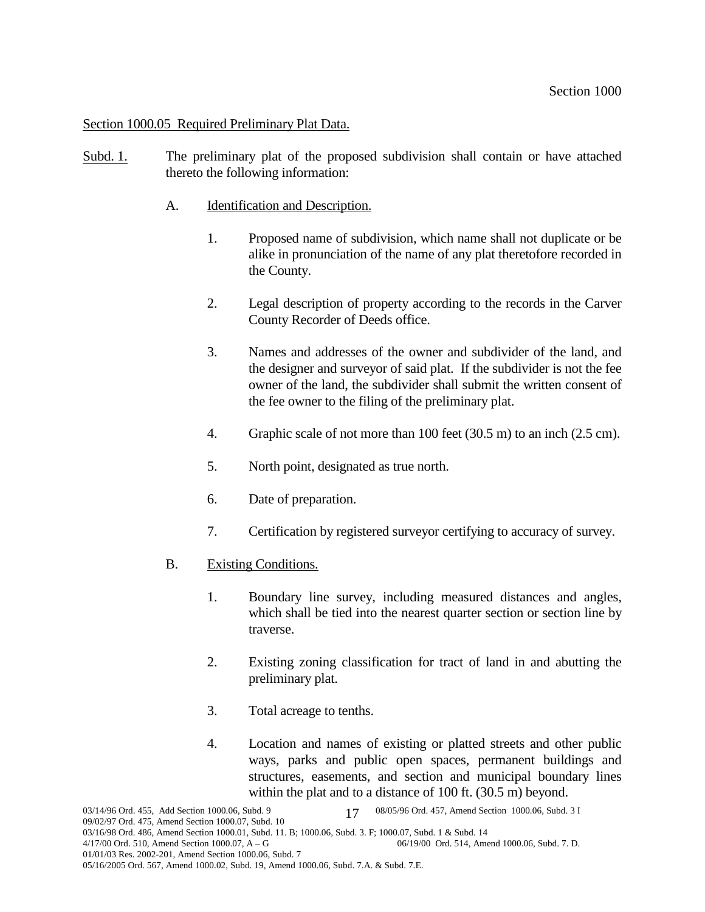Section 1000.05 Required Preliminary Plat Data.

- Subd. 1. The preliminary plat of the proposed subdivision shall contain or have attached thereto the following information:
	- A. Identification and Description.
		- 1. Proposed name of subdivision, which name shall not duplicate or be alike in pronunciation of the name of any plat theretofore recorded in the County.
		- 2. Legal description of property according to the records in the Carver County Recorder of Deeds office.
		- 3. Names and addresses of the owner and subdivider of the land, and the designer and surveyor of said plat. If the subdivider is not the fee owner of the land, the subdivider shall submit the written consent of the fee owner to the filing of the preliminary plat.
		- 4. Graphic scale of not more than 100 feet (30.5 m) to an inch (2.5 cm).
		- 5. North point, designated as true north.
		- 6. Date of preparation.
		- 7. Certification by registered surveyor certifying to accuracy of survey.
	- B. Existing Conditions.
		- 1. Boundary line survey, including measured distances and angles, which shall be tied into the nearest quarter section or section line by traverse.
		- 2. Existing zoning classification for tract of land in and abutting the preliminary plat.
		- 3. Total acreage to tenths.
		- 4. Location and names of existing or platted streets and other public ways, parks and public open spaces, permanent buildings and structures, easements, and section and municipal boundary lines within the plat and to a distance of 100 ft. (30.5 m) beyond.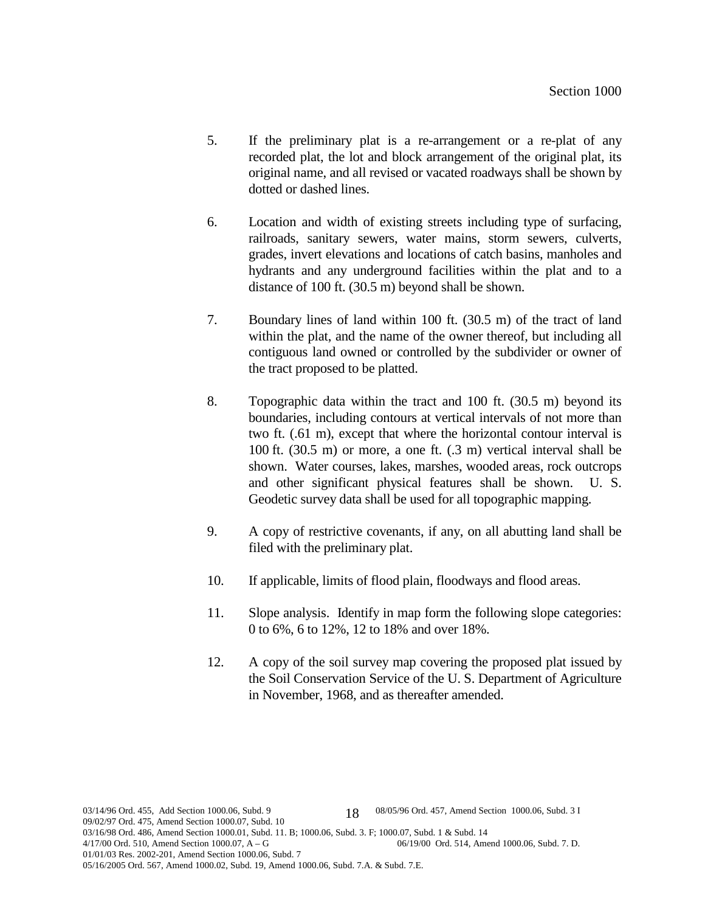- 5. If the preliminary plat is a re-arrangement or a re-plat of any recorded plat, the lot and block arrangement of the original plat, its original name, and all revised or vacated roadways shall be shown by dotted or dashed lines.
- 6. Location and width of existing streets including type of surfacing, railroads, sanitary sewers, water mains, storm sewers, culverts, grades, invert elevations and locations of catch basins, manholes and hydrants and any underground facilities within the plat and to a distance of 100 ft. (30.5 m) beyond shall be shown.
- 7. Boundary lines of land within 100 ft. (30.5 m) of the tract of land within the plat, and the name of the owner thereof, but including all contiguous land owned or controlled by the subdivider or owner of the tract proposed to be platted.
- 8. Topographic data within the tract and 100 ft. (30.5 m) beyond its boundaries, including contours at vertical intervals of not more than two ft. (.61 m), except that where the horizontal contour interval is 100 ft. (30.5 m) or more, a one ft. (.3 m) vertical interval shall be shown. Water courses, lakes, marshes, wooded areas, rock outcrops and other significant physical features shall be shown. U. S. Geodetic survey data shall be used for all topographic mapping.
- 9. A copy of restrictive covenants, if any, on all abutting land shall be filed with the preliminary plat.
- 10. If applicable, limits of flood plain, floodways and flood areas.
- 11. Slope analysis. Identify in map form the following slope categories: 0 to 6%, 6 to 12%, 12 to 18% and over 18%.
- 12. A copy of the soil survey map covering the proposed plat issued by the Soil Conservation Service of the U. S. Department of Agriculture in November, 1968, and as thereafter amended.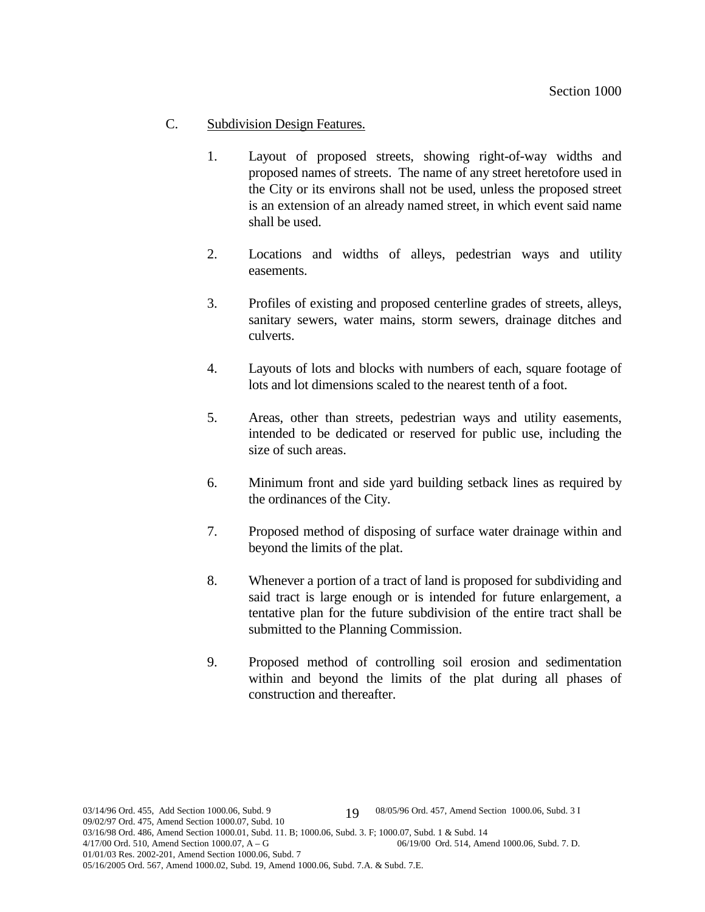## C. Subdivision Design Features.

- 1. Layout of proposed streets, showing right-of-way widths and proposed names of streets. The name of any street heretofore used in the City or its environs shall not be used, unless the proposed street is an extension of an already named street, in which event said name shall be used.
- 2. Locations and widths of alleys, pedestrian ways and utility easements.
- 3. Profiles of existing and proposed centerline grades of streets, alleys, sanitary sewers, water mains, storm sewers, drainage ditches and culverts.
- 4. Layouts of lots and blocks with numbers of each, square footage of lots and lot dimensions scaled to the nearest tenth of a foot.
- 5. Areas, other than streets, pedestrian ways and utility easements, intended to be dedicated or reserved for public use, including the size of such areas.
- 6. Minimum front and side yard building setback lines as required by the ordinances of the City.
- 7. Proposed method of disposing of surface water drainage within and beyond the limits of the plat.
- 8. Whenever a portion of a tract of land is proposed for subdividing and said tract is large enough or is intended for future enlargement, a tentative plan for the future subdivision of the entire tract shall be submitted to the Planning Commission.
- 9. Proposed method of controlling soil erosion and sedimentation within and beyond the limits of the plat during all phases of construction and thereafter.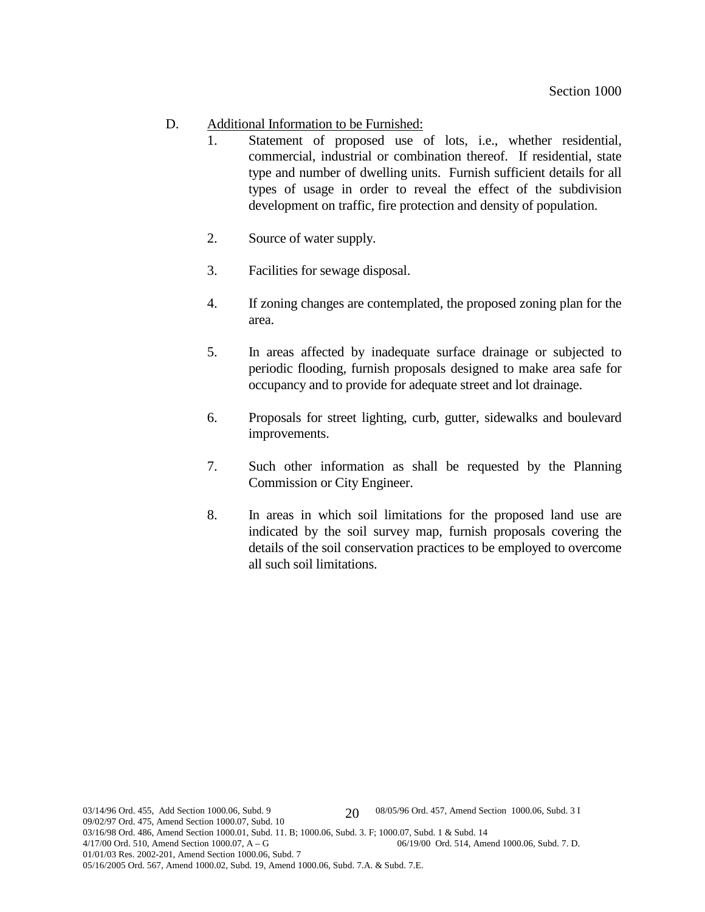- D. Additional Information to be Furnished:
	- 1. Statement of proposed use of lots, i.e., whether residential, commercial, industrial or combination thereof. If residential, state type and number of dwelling units. Furnish sufficient details for all types of usage in order to reveal the effect of the subdivision development on traffic, fire protection and density of population.
	- 2. Source of water supply.
	- 3. Facilities for sewage disposal.
	- 4. If zoning changes are contemplated, the proposed zoning plan for the area.
	- 5. In areas affected by inadequate surface drainage or subjected to periodic flooding, furnish proposals designed to make area safe for occupancy and to provide for adequate street and lot drainage.
	- 6. Proposals for street lighting, curb, gutter, sidewalks and boulevard improvements.
	- 7. Such other information as shall be requested by the Planning Commission or City Engineer.
	- 8. In areas in which soil limitations for the proposed land use are indicated by the soil survey map, furnish proposals covering the details of the soil conservation practices to be employed to overcome all such soil limitations.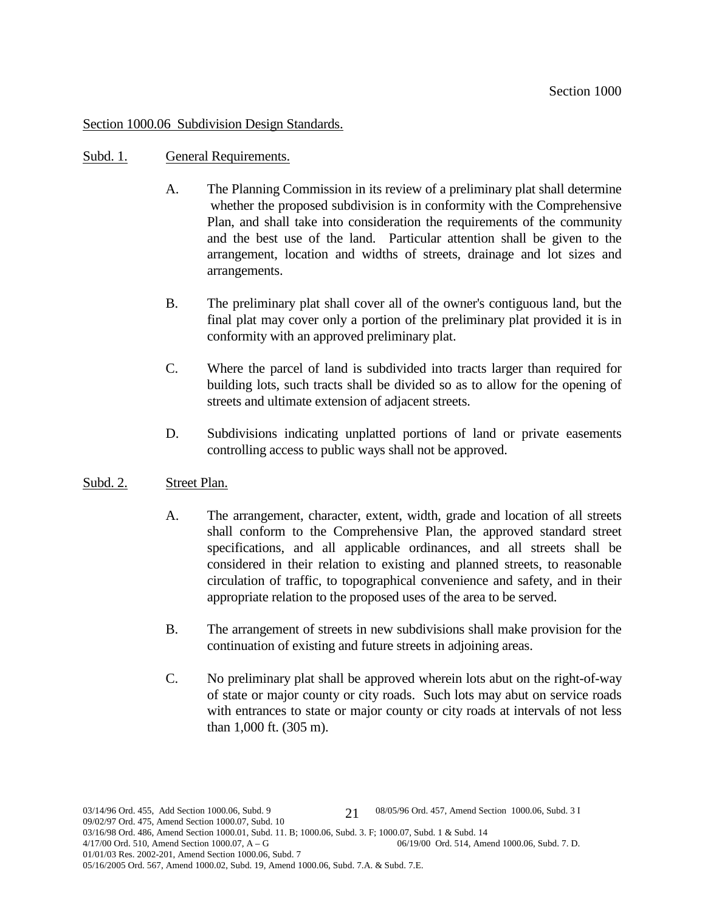# Section 1000.06 Subdivision Design Standards.

#### Subd. 1. General Requirements.

- A. The Planning Commission in its review of a preliminary plat shall determine whether the proposed subdivision is in conformity with the Comprehensive Plan, and shall take into consideration the requirements of the community and the best use of the land. Particular attention shall be given to the arrangement, location and widths of streets, drainage and lot sizes and arrangements.
- B. The preliminary plat shall cover all of the owner's contiguous land, but the final plat may cover only a portion of the preliminary plat provided it is in conformity with an approved preliminary plat.
- C. Where the parcel of land is subdivided into tracts larger than required for building lots, such tracts shall be divided so as to allow for the opening of streets and ultimate extension of adjacent streets.
- D. Subdivisions indicating unplatted portions of land or private easements controlling access to public ways shall not be approved.

### Subd. 2. Street Plan.

- A. The arrangement, character, extent, width, grade and location of all streets shall conform to the Comprehensive Plan, the approved standard street specifications, and all applicable ordinances, and all streets shall be considered in their relation to existing and planned streets, to reasonable circulation of traffic, to topographical convenience and safety, and in their appropriate relation to the proposed uses of the area to be served.
- B. The arrangement of streets in new subdivisions shall make provision for the continuation of existing and future streets in adjoining areas.
- C. No preliminary plat shall be approved wherein lots abut on the right-of-way of state or major county or city roads. Such lots may abut on service roads with entrances to state or major county or city roads at intervals of not less than 1,000 ft. (305 m).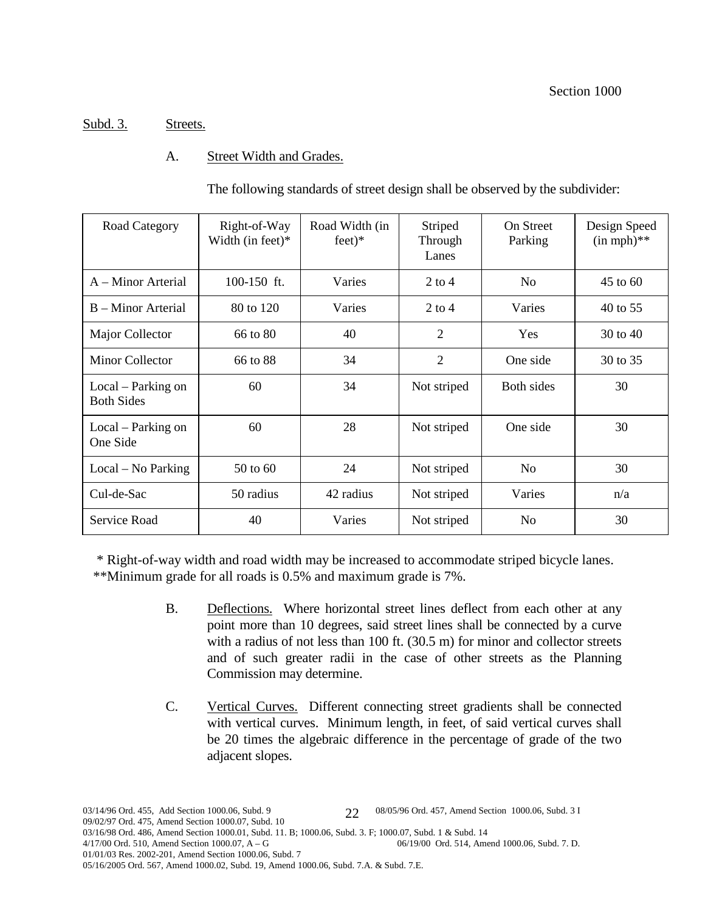# Subd. 3. Streets.

# A. Street Width and Grades.

The following standards of street design shall be observed by the subdivider:

| Road Category                           | Right-of-Way<br>Width (in feet) $*$ | Road Width (in<br>$feet)*$ | Striped<br>Through<br>Lanes | <b>On Street</b><br>Parking | Design Speed<br>$(in mph)**$ |
|-----------------------------------------|-------------------------------------|----------------------------|-----------------------------|-----------------------------|------------------------------|
| A – Minor Arterial                      | 100-150 ft.                         | Varies                     | $2$ to 4                    | N <sub>0</sub>              | $45$ to 60                   |
| B – Minor Arterial                      | 80 to 120                           | Varies                     | $2$ to 4                    | Varies                      | 40 to 55                     |
| Major Collector                         | 66 to 80                            | 40                         | $\overline{2}$              | Yes                         | 30 to 40                     |
| <b>Minor Collector</b>                  | 66 to 88                            | 34                         | $\overline{2}$              | One side                    | 30 to 35                     |
| Local – Parking on<br><b>Both Sides</b> | 60                                  | 34                         | Not striped                 | <b>Both sides</b>           | 30                           |
| Local – Parking on<br>One Side          | 60                                  | 28                         | Not striped                 | One side                    | 30                           |
| $Local - No Parking$                    | 50 to 60                            | 24                         | Not striped                 | N <sub>0</sub>              | 30                           |
| Cul-de-Sac                              | 50 radius                           | 42 radius                  | Not striped                 | Varies                      | n/a                          |
| Service Road                            | 40                                  | Varies                     | Not striped                 | N <sub>0</sub>              | 30                           |

\* Right-of-way width and road width may be increased to accommodate striped bicycle lanes.

\*\*Minimum grade for all roads is 0.5% and maximum grade is 7%.

- B. Deflections. Where horizontal street lines deflect from each other at any point more than 10 degrees, said street lines shall be connected by a curve with a radius of not less than 100 ft. (30.5 m) for minor and collector streets and of such greater radii in the case of other streets as the Planning Commission may determine.
- C. Vertical Curves. Different connecting street gradients shall be connected with vertical curves. Minimum length, in feet, of said vertical curves shall be 20 times the algebraic difference in the percentage of grade of the two adjacent slopes.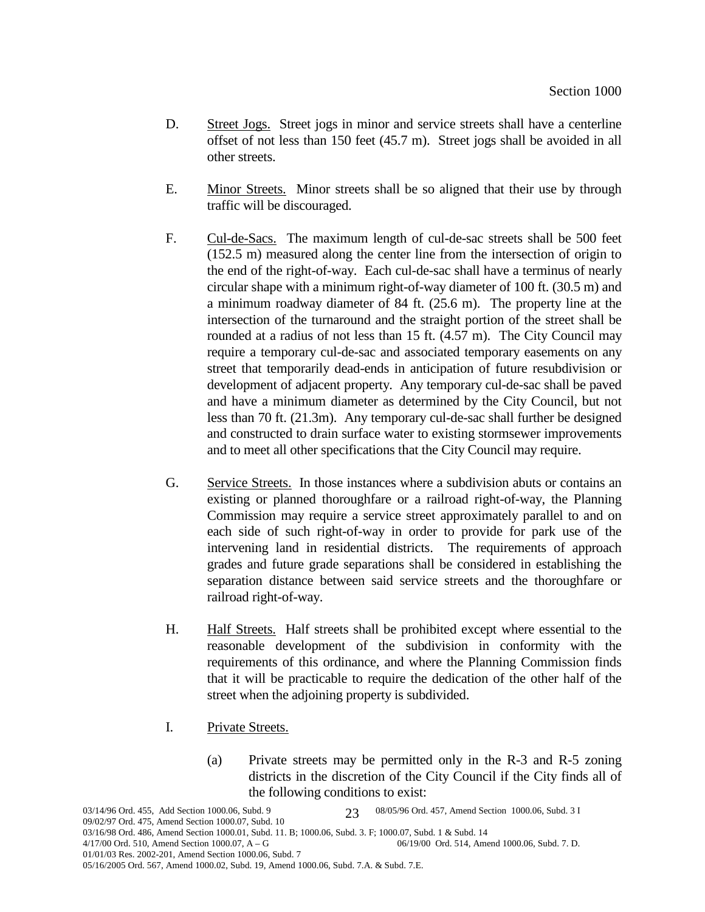- D. Street Jogs. Street jogs in minor and service streets shall have a centerline offset of not less than 150 feet (45.7 m). Street jogs shall be avoided in all other streets.
- E. Minor Streets. Minor streets shall be so aligned that their use by through traffic will be discouraged.
- F. Cul-de-Sacs. The maximum length of cul-de-sac streets shall be 500 feet (152.5 m) measured along the center line from the intersection of origin to the end of the right-of-way. Each cul-de-sac shall have a terminus of nearly circular shape with a minimum right-of-way diameter of 100 ft. (30.5 m) and a minimum roadway diameter of 84 ft. (25.6 m). The property line at the intersection of the turnaround and the straight portion of the street shall be rounded at a radius of not less than 15 ft. (4.57 m). The City Council may require a temporary cul-de-sac and associated temporary easements on any street that temporarily dead-ends in anticipation of future resubdivision or development of adjacent property. Any temporary cul-de-sac shall be paved and have a minimum diameter as determined by the City Council, but not less than 70 ft. (21.3m). Any temporary cul-de-sac shall further be designed and constructed to drain surface water to existing stormsewer improvements and to meet all other specifications that the City Council may require.
- G. Service Streets. In those instances where a subdivision abuts or contains an existing or planned thoroughfare or a railroad right-of-way, the Planning Commission may require a service street approximately parallel to and on each side of such right-of-way in order to provide for park use of the intervening land in residential districts. The requirements of approach grades and future grade separations shall be considered in establishing the separation distance between said service streets and the thoroughfare or railroad right-of-way.
- H. Half Streets. Half streets shall be prohibited except where essential to the reasonable development of the subdivision in conformity with the requirements of this ordinance, and where the Planning Commission finds that it will be practicable to require the dedication of the other half of the street when the adjoining property is subdivided.
- I. Private Streets.
	- (a) Private streets may be permitted only in the R-3 and R-5 zoning districts in the discretion of the City Council if the City finds all of the following conditions to exist: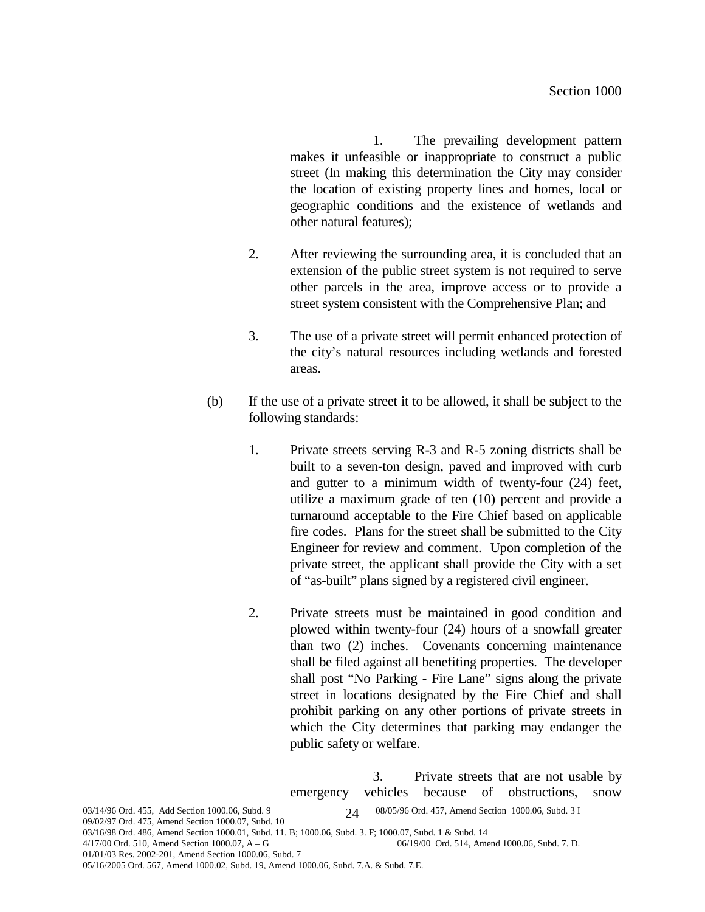1. The prevailing development pattern makes it unfeasible or inappropriate to construct a public street (In making this determination the City may consider the location of existing property lines and homes, local or geographic conditions and the existence of wetlands and other natural features);

- 2. After reviewing the surrounding area, it is concluded that an extension of the public street system is not required to serve other parcels in the area, improve access or to provide a street system consistent with the Comprehensive Plan; and
- 3. The use of a private street will permit enhanced protection of the city's natural resources including wetlands and forested areas.
- (b) If the use of a private street it to be allowed, it shall be subject to the following standards:
	- 1. Private streets serving R-3 and R-5 zoning districts shall be built to a seven-ton design, paved and improved with curb and gutter to a minimum width of twenty-four (24) feet, utilize a maximum grade of ten (10) percent and provide a turnaround acceptable to the Fire Chief based on applicable fire codes. Plans for the street shall be submitted to the City Engineer for review and comment. Upon completion of the private street, the applicant shall provide the City with a set of "as-built" plans signed by a registered civil engineer.
	- 2. Private streets must be maintained in good condition and plowed within twenty-four (24) hours of a snowfall greater than two (2) inches. Covenants concerning maintenance shall be filed against all benefiting properties. The developer shall post "No Parking - Fire Lane" signs along the private street in locations designated by the Fire Chief and shall prohibit parking on any other portions of private streets in which the City determines that parking may endanger the public safety or welfare.

3. Private streets that are not usable by

03/14/96 Ord. 455, Add Section 1000.06, Subd. 9 08/05/96 Ord. 457, Amend Section 1000.06, Subd. 3 I 09/02/97 Ord. 475, Amend Section 1000.07, Subd. 10 03/16/98 Ord. 486, Amend Section 1000.01, Subd. 11. B; 1000.06, Subd. 3. F; 1000.07, Subd. 1 & Subd. 14<br>4/17/00 Ord. 510, Amend Section 1000.07, A – G<br>06/19/00 Ord. 514, Ame 06/19/00 Ord. 514, Amend 1000.06, Subd. 7. D. 01/01/03 Res. 2002-201, Amend Section 1000.06, Subd. 7 24 emergency vehicles because of obstructions, snow

05/16/2005 Ord. 567, Amend 1000.02, Subd. 19, Amend 1000.06, Subd. 7.A. & Subd. 7.E.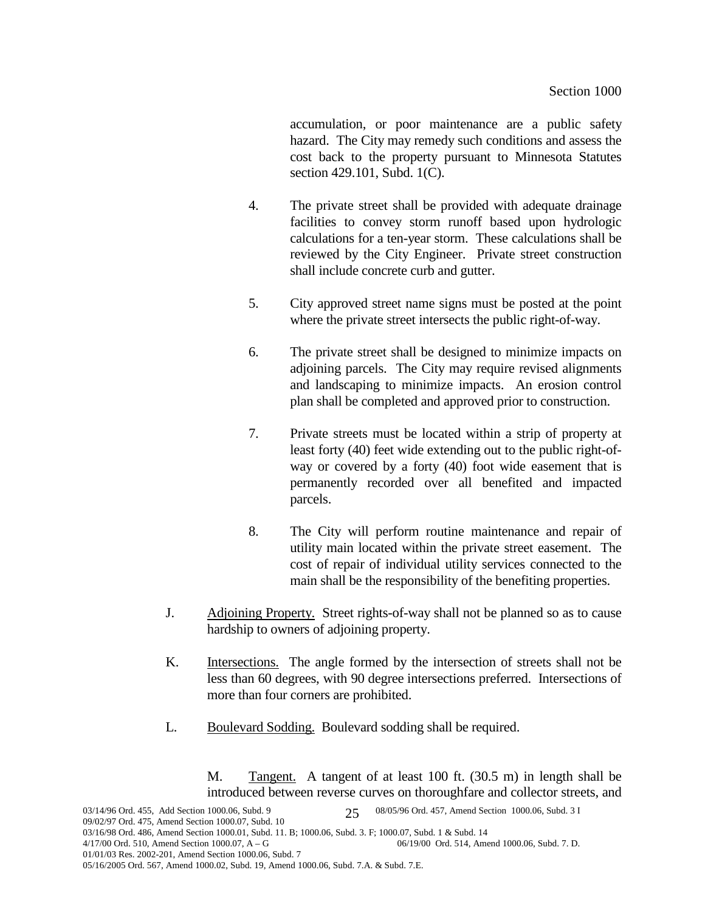accumulation, or poor maintenance are a public safety hazard. The City may remedy such conditions and assess the cost back to the property pursuant to Minnesota Statutes section 429.101, Subd. 1(C).

- 4. The private street shall be provided with adequate drainage facilities to convey storm runoff based upon hydrologic calculations for a ten-year storm. These calculations shall be reviewed by the City Engineer. Private street construction shall include concrete curb and gutter.
- 5. City approved street name signs must be posted at the point where the private street intersects the public right-of-way.
- 6. The private street shall be designed to minimize impacts on adjoining parcels. The City may require revised alignments and landscaping to minimize impacts. An erosion control plan shall be completed and approved prior to construction.
- 7. Private streets must be located within a strip of property at least forty (40) feet wide extending out to the public right-ofway or covered by a forty (40) foot wide easement that is permanently recorded over all benefited and impacted parcels.
- 8. The City will perform routine maintenance and repair of utility main located within the private street easement. The cost of repair of individual utility services connected to the main shall be the responsibility of the benefiting properties.
- J. Adjoining Property. Street rights-of-way shall not be planned so as to cause hardship to owners of adjoining property.
- K. Intersections. The angle formed by the intersection of streets shall not be less than 60 degrees, with 90 degree intersections preferred. Intersections of more than four corners are prohibited.
- L. Boulevard Sodding. Boulevard sodding shall be required.

M. Tangent. A tangent of at least 100 ft. (30.5 m) in length shall be introduced between reverse curves on thoroughfare and collector streets, and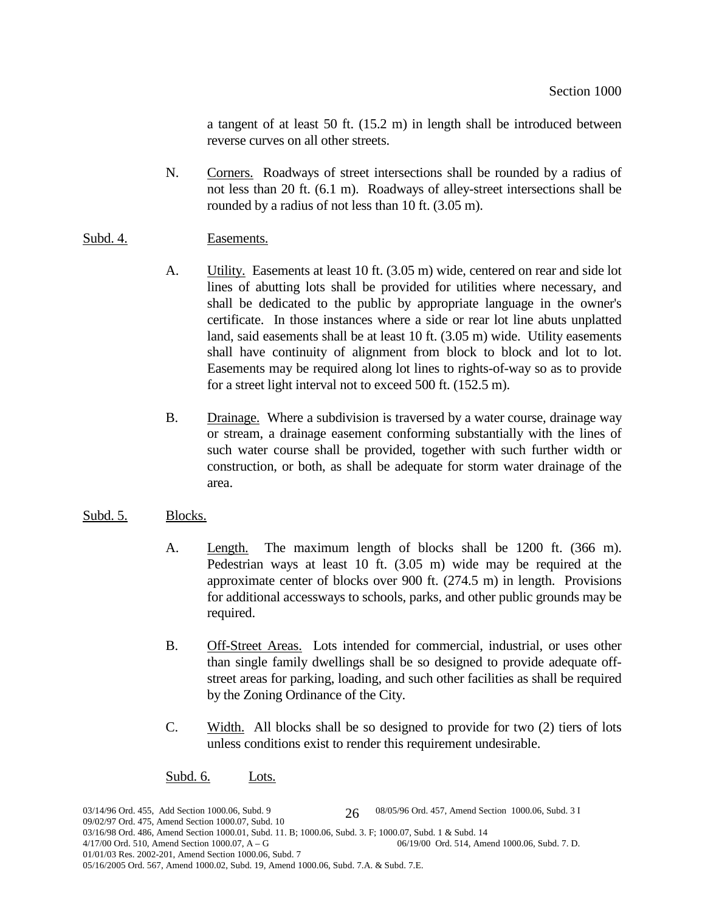a tangent of at least 50 ft. (15.2 m) in length shall be introduced between reverse curves on all other streets.

N. Corners. Roadways of street intersections shall be rounded by a radius of not less than 20 ft. (6.1 m). Roadways of alley-street intersections shall be rounded by a radius of not less than 10 ft.  $(3.05 \text{ m})$ .

# Subd. 4. Easements.

- A. **Utility.** Easements at least 10 ft. (3.05 m) wide, centered on rear and side lot lines of abutting lots shall be provided for utilities where necessary, and shall be dedicated to the public by appropriate language in the owner's certificate. In those instances where a side or rear lot line abuts unplatted land, said easements shall be at least 10 ft. (3.05 m) wide. Utility easements shall have continuity of alignment from block to block and lot to lot. Easements may be required along lot lines to rights-of-way so as to provide for a street light interval not to exceed 500 ft. (152.5 m).
- B. Drainage. Where a subdivision is traversed by a water course, drainage way or stream, a drainage easement conforming substantially with the lines of such water course shall be provided, together with such further width or construction, or both, as shall be adequate for storm water drainage of the area.

### Subd. 5. Blocks.

- A. Length. The maximum length of blocks shall be 1200 ft. (366 m). Pedestrian ways at least 10 ft. (3.05 m) wide may be required at the approximate center of blocks over 900 ft. (274.5 m) in length. Provisions for additional accessways to schools, parks, and other public grounds may be required.
- B. Off-Street Areas. Lots intended for commercial, industrial, or uses other than single family dwellings shall be so designed to provide adequate offstreet areas for parking, loading, and such other facilities as shall be required by the Zoning Ordinance of the City.
- C. Width. All blocks shall be so designed to provide for two (2) tiers of lots unless conditions exist to render this requirement undesirable.

### Subd. 6. Lots.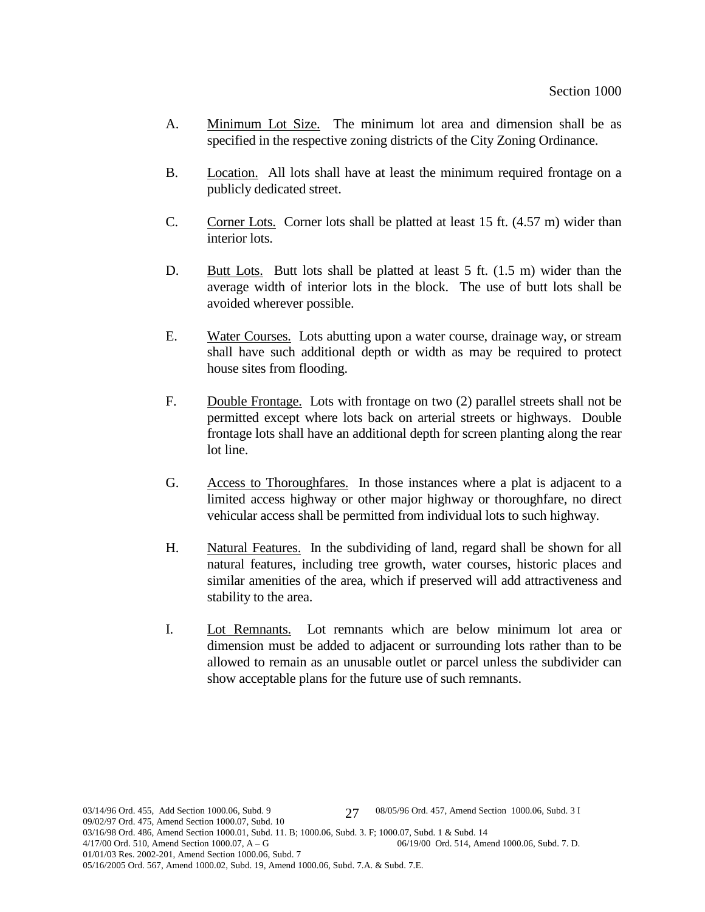- A. Minimum Lot Size. The minimum lot area and dimension shall be as specified in the respective zoning districts of the City Zoning Ordinance.
- B. Location. All lots shall have at least the minimum required frontage on a publicly dedicated street.
- C. Corner Lots. Corner lots shall be platted at least 15 ft. (4.57 m) wider than interior lots.
- D. Butt Lots. Butt lots shall be platted at least 5 ft. (1.5 m) wider than the average width of interior lots in the block. The use of butt lots shall be avoided wherever possible.
- E. Water Courses. Lots abutting upon a water course, drainage way, or stream shall have such additional depth or width as may be required to protect house sites from flooding.
- F. Double Frontage. Lots with frontage on two (2) parallel streets shall not be permitted except where lots back on arterial streets or highways. Double frontage lots shall have an additional depth for screen planting along the rear lot line.
- G. Access to Thoroughfares. In those instances where a plat is adjacent to a limited access highway or other major highway or thoroughfare, no direct vehicular access shall be permitted from individual lots to such highway.
- H. Natural Features. In the subdividing of land, regard shall be shown for all natural features, including tree growth, water courses, historic places and similar amenities of the area, which if preserved will add attractiveness and stability to the area.
- I. Lot Remnants. Lot remnants which are below minimum lot area or dimension must be added to adjacent or surrounding lots rather than to be allowed to remain as an unusable outlet or parcel unless the subdivider can show acceptable plans for the future use of such remnants.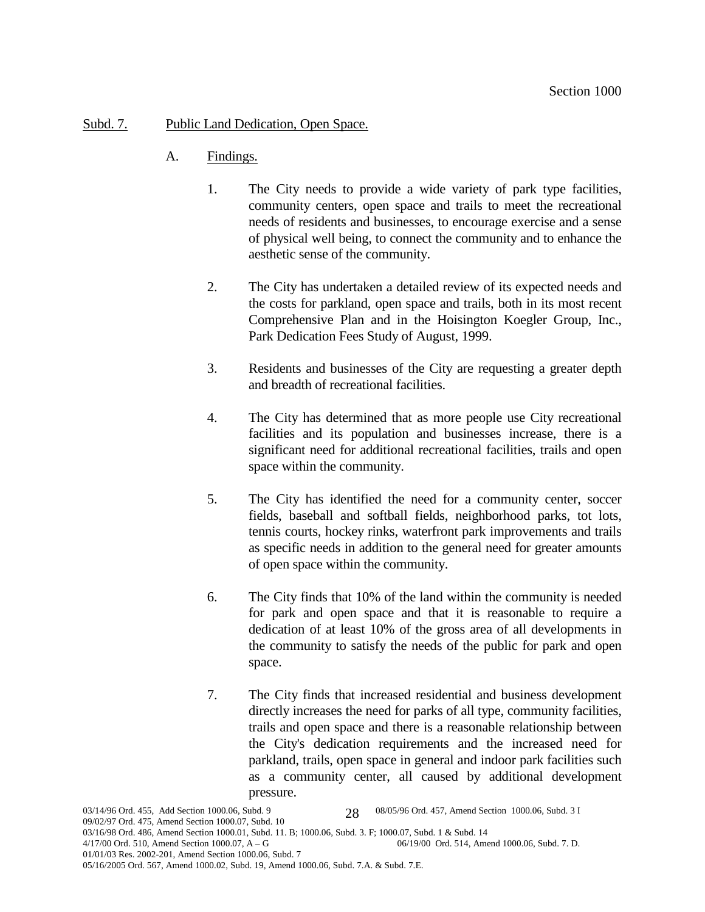# Subd. 7. Public Land Dedication, Open Space.

- A. Findings.
	- 1. The City needs to provide a wide variety of park type facilities, community centers, open space and trails to meet the recreational needs of residents and businesses, to encourage exercise and a sense of physical well being, to connect the community and to enhance the aesthetic sense of the community.
	- 2. The City has undertaken a detailed review of its expected needs and the costs for parkland, open space and trails, both in its most recent Comprehensive Plan and in the Hoisington Koegler Group, Inc., Park Dedication Fees Study of August, 1999.
	- 3. Residents and businesses of the City are requesting a greater depth and breadth of recreational facilities.
	- 4. The City has determined that as more people use City recreational facilities and its population and businesses increase, there is a significant need for additional recreational facilities, trails and open space within the community.
	- 5. The City has identified the need for a community center, soccer fields, baseball and softball fields, neighborhood parks, tot lots, tennis courts, hockey rinks, waterfront park improvements and trails as specific needs in addition to the general need for greater amounts of open space within the community.
	- 6. The City finds that 10% of the land within the community is needed for park and open space and that it is reasonable to require a dedication of at least 10% of the gross area of all developments in the community to satisfy the needs of the public for park and open space.
	- 7. The City finds that increased residential and business development directly increases the need for parks of all type, community facilities, trails and open space and there is a reasonable relationship between the City's dedication requirements and the increased need for parkland, trails, open space in general and indoor park facilities such as a community center, all caused by additional development pressure.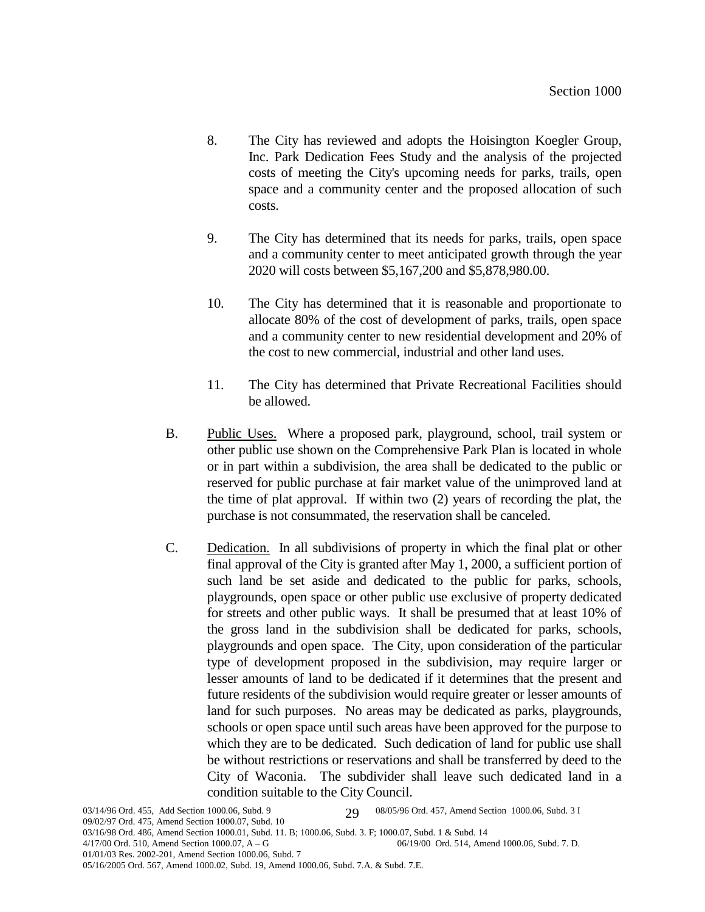- 8. The City has reviewed and adopts the Hoisington Koegler Group, Inc. Park Dedication Fees Study and the analysis of the projected costs of meeting the City's upcoming needs for parks, trails, open space and a community center and the proposed allocation of such costs.
- 9. The City has determined that its needs for parks, trails, open space and a community center to meet anticipated growth through the year 2020 will costs between \$5,167,200 and \$5,878,980.00.
- 10. The City has determined that it is reasonable and proportionate to allocate 80% of the cost of development of parks, trails, open space and a community center to new residential development and 20% of the cost to new commercial, industrial and other land uses.
- 11. The City has determined that Private Recreational Facilities should be allowed.
- B. Public Uses. Where a proposed park, playground, school, trail system or other public use shown on the Comprehensive Park Plan is located in whole or in part within a subdivision, the area shall be dedicated to the public or reserved for public purchase at fair market value of the unimproved land at the time of plat approval. If within two (2) years of recording the plat, the purchase is not consummated, the reservation shall be canceled.
- C. Dedication. In all subdivisions of property in which the final plat or other final approval of the City is granted after May 1, 2000, a sufficient portion of such land be set aside and dedicated to the public for parks, schools, playgrounds, open space or other public use exclusive of property dedicated for streets and other public ways. It shall be presumed that at least 10% of the gross land in the subdivision shall be dedicated for parks, schools, playgrounds and open space. The City, upon consideration of the particular type of development proposed in the subdivision, may require larger or lesser amounts of land to be dedicated if it determines that the present and future residents of the subdivision would require greater or lesser amounts of land for such purposes. No areas may be dedicated as parks, playgrounds, schools or open space until such areas have been approved for the purpose to which they are to be dedicated. Such dedication of land for public use shall be without restrictions or reservations and shall be transferred by deed to the City of Waconia. The subdivider shall leave such dedicated land in a condition suitable to the City Council.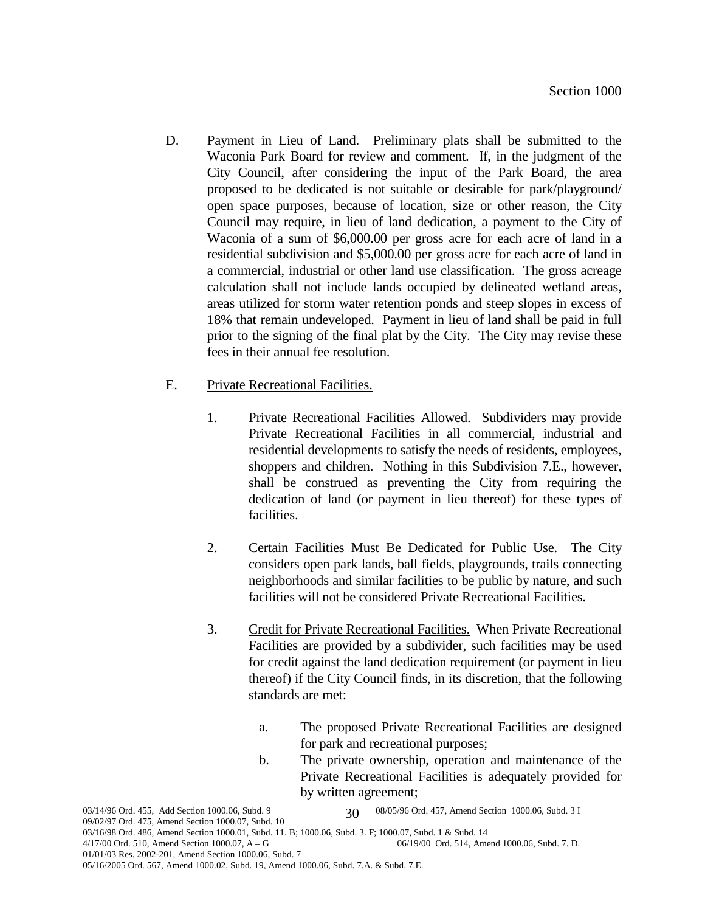- D. Payment in Lieu of Land. Preliminary plats shall be submitted to the Waconia Park Board for review and comment. If, in the judgment of the City Council, after considering the input of the Park Board, the area proposed to be dedicated is not suitable or desirable for park/playground/ open space purposes, because of location, size or other reason, the City Council may require, in lieu of land dedication, a payment to the City of Waconia of a sum of \$6,000.00 per gross acre for each acre of land in a residential subdivision and \$5,000.00 per gross acre for each acre of land in a commercial, industrial or other land use classification. The gross acreage calculation shall not include lands occupied by delineated wetland areas, areas utilized for storm water retention ponds and steep slopes in excess of 18% that remain undeveloped. Payment in lieu of land shall be paid in full prior to the signing of the final plat by the City. The City may revise these fees in their annual fee resolution.
- E. Private Recreational Facilities.
	- 1. Private Recreational Facilities Allowed. Subdividers may provide Private Recreational Facilities in all commercial, industrial and residential developments to satisfy the needs of residents, employees, shoppers and children. Nothing in this Subdivision 7.E., however, shall be construed as preventing the City from requiring the dedication of land (or payment in lieu thereof) for these types of facilities.
	- 2. Certain Facilities Must Be Dedicated for Public Use. The City considers open park lands, ball fields, playgrounds, trails connecting neighborhoods and similar facilities to be public by nature, and such facilities will not be considered Private Recreational Facilities.
	- 3. Credit for Private Recreational Facilities. When Private Recreational Facilities are provided by a subdivider, such facilities may be used for credit against the land dedication requirement (or payment in lieu thereof) if the City Council finds, in its discretion, that the following standards are met:
		- a. The proposed Private Recreational Facilities are designed for park and recreational purposes;
		- b. The private ownership, operation and maintenance of the Private Recreational Facilities is adequately provided for by written agreement;

<sup>03/14/96</sup> Ord. 455, Add Section 1000.06, Subd. 9 08/05/96 Ord. 457, Amend Section 1000.06, Subd. 3 I 30

<sup>09/02/97</sup> Ord. 475, Amend Section 1000.07, Subd. 10

<sup>03/16/98</sup> Ord. 486, Amend Section 1000.01, Subd. 11. B; 1000.06, Subd. 3. F; 1000.07, Subd. 1 & Subd. 14<br>4/17/00 Ord. 510, Amend Section 1000.07, A – G<br>06/19/00 Ord. 514, Ame

<sup>06/19/00</sup> Ord. 514, Amend 1000.06, Subd. 7. D.

<sup>01/01/03</sup> Res. 2002-201, Amend Section 1000.06, Subd. 7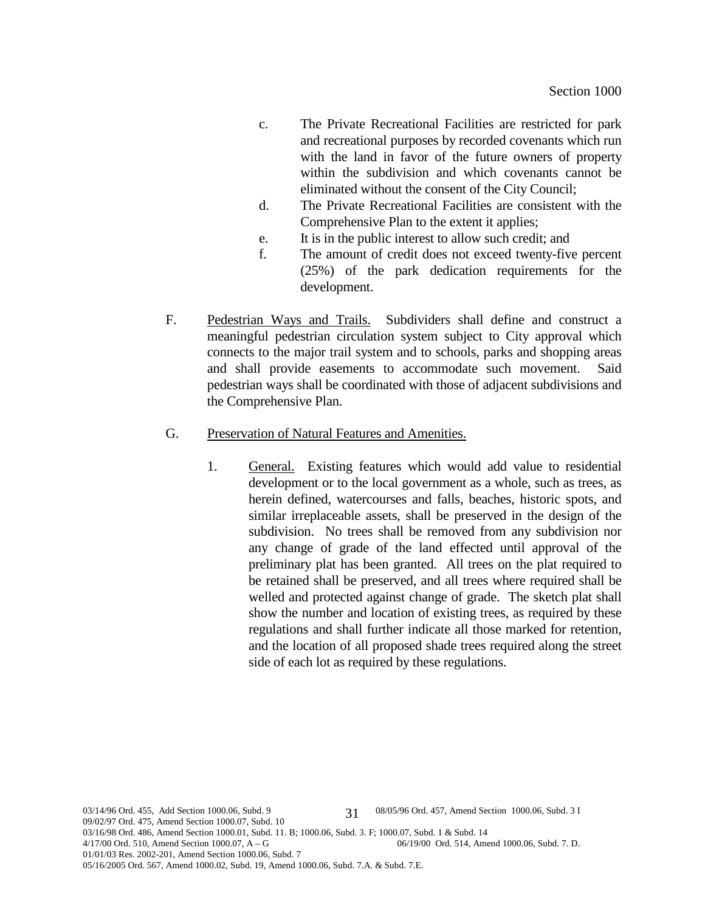- c. The Private Recreational Facilities are restricted for park and recreational purposes by recorded covenants which run with the land in favor of the future owners of property within the subdivision and which covenants cannot be eliminated without the consent of the City Council;
- d. The Private Recreational Facilities are consistent with the Comprehensive Plan to the extent it applies;
- e. It is in the public interest to allow such credit; and
- f. The amount of credit does not exceed twenty-five percent (25%) of the park dedication requirements for the development.
- F. Pedestrian Ways and Trails. Subdividers shall define and construct a meaningful pedestrian circulation system subject to City approval which connects to the major trail system and to schools, parks and shopping areas and shall provide easements to accommodate such movement. Said pedestrian ways shall be coordinated with those of adjacent subdivisions and the Comprehensive Plan.
- G. Preservation of Natural Features and Amenities.
	- 1. General. Existing features which would add value to residential development or to the local government as a whole, such as trees, as herein defined, watercourses and falls, beaches, historic spots, and similar irreplaceable assets, shall be preserved in the design of the subdivision. No trees shall be removed from any subdivision nor any change of grade of the land effected until approval of the preliminary plat has been granted. All trees on the plat required to be retained shall be preserved, and all trees where required shall be welled and protected against change of grade. The sketch plat shall show the number and location of existing trees, as required by these regulations and shall further indicate all those marked for retention, and the location of all proposed shade trees required along the street side of each lot as required by these regulations.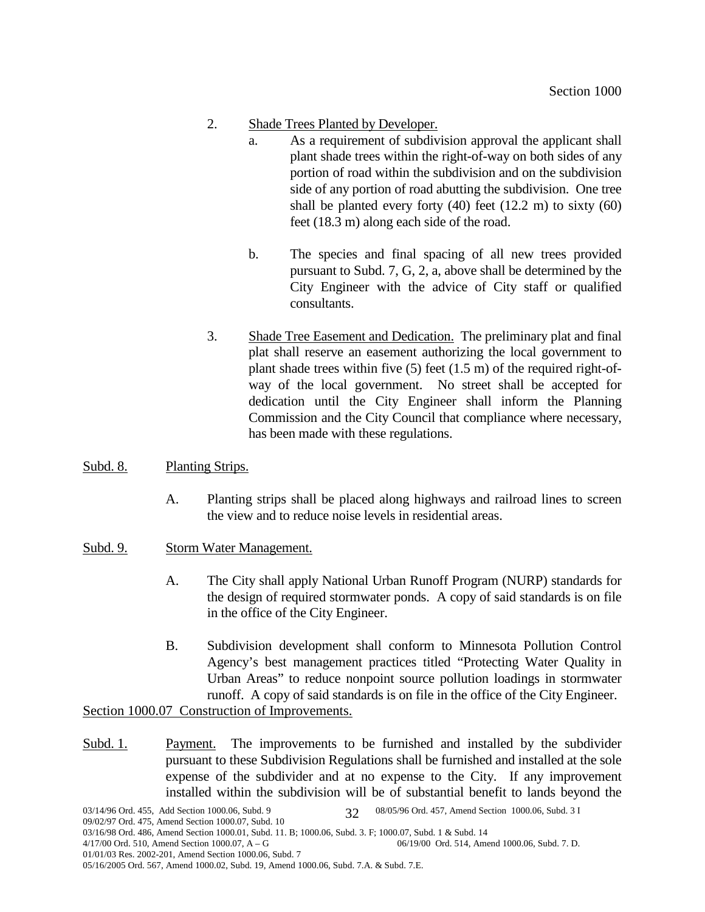- 2. Shade Trees Planted by Developer.
	- a. As a requirement of subdivision approval the applicant shall plant shade trees within the right-of-way on both sides of any portion of road within the subdivision and on the subdivision side of any portion of road abutting the subdivision. One tree shall be planted every forty (40) feet (12.2 m) to sixty (60) feet (18.3 m) along each side of the road.
	- b. The species and final spacing of all new trees provided pursuant to Subd. 7, G, 2, a, above shall be determined by the City Engineer with the advice of City staff or qualified consultants.
- 3. Shade Tree Easement and Dedication. The preliminary plat and final plat shall reserve an easement authorizing the local government to plant shade trees within five (5) feet (1.5 m) of the required right-ofway of the local government. No street shall be accepted for dedication until the City Engineer shall inform the Planning Commission and the City Council that compliance where necessary, has been made with these regulations.

### Subd. 8. Planting Strips.

- A. Planting strips shall be placed along highways and railroad lines to screen the view and to reduce noise levels in residential areas.
- Subd. 9. Storm Water Management.
	- A. The City shall apply National Urban Runoff Program (NURP) standards for the design of required stormwater ponds. A copy of said standards is on file in the office of the City Engineer.
	- B. Subdivision development shall conform to Minnesota Pollution Control Agency's best management practices titled "Protecting Water Quality in Urban Areas" to reduce nonpoint source pollution loadings in stormwater runoff. A copy of said standards is on file in the office of the City Engineer.

Section 1000.07 Construction of Improvements.

Subd. 1. Payment. The improvements to be furnished and installed by the subdivider pursuant to these Subdivision Regulations shall be furnished and installed at the sole expense of the subdivider and at no expense to the City. If any improvement installed within the subdivision will be of substantial benefit to lands beyond the

<sup>05/16/2005</sup> Ord. 567, Amend 1000.02, Subd. 19, Amend 1000.06, Subd. 7.A. & Subd. 7.E.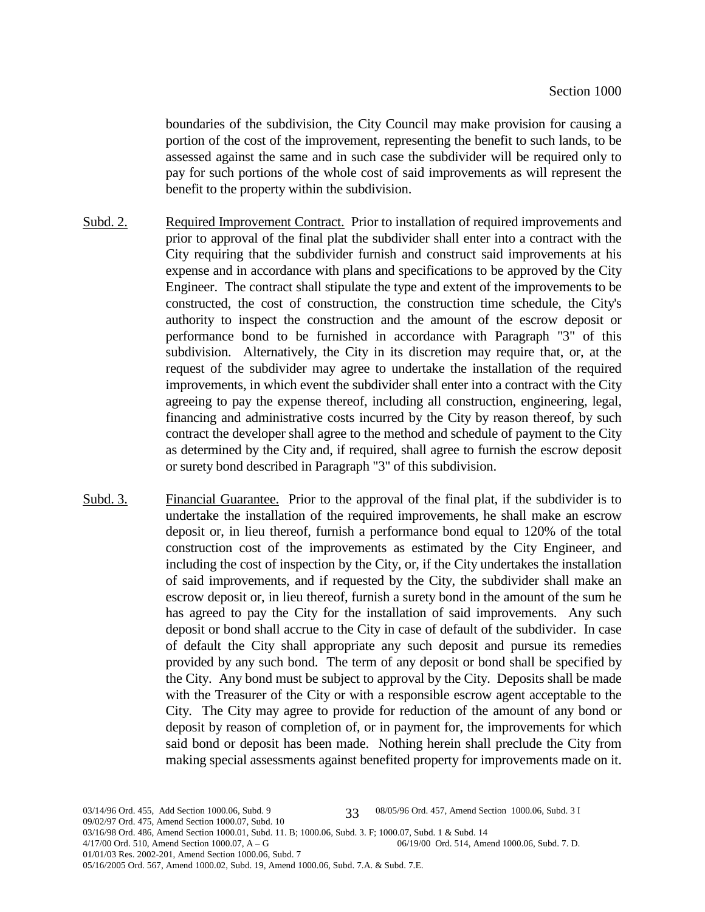boundaries of the subdivision, the City Council may make provision for causing a portion of the cost of the improvement, representing the benefit to such lands, to be assessed against the same and in such case the subdivider will be required only to pay for such portions of the whole cost of said improvements as will represent the benefit to the property within the subdivision.

- Subd. 2. Required Improvement Contract. Prior to installation of required improvements and prior to approval of the final plat the subdivider shall enter into a contract with the City requiring that the subdivider furnish and construct said improvements at his expense and in accordance with plans and specifications to be approved by the City Engineer. The contract shall stipulate the type and extent of the improvements to be constructed, the cost of construction, the construction time schedule, the City's authority to inspect the construction and the amount of the escrow deposit or performance bond to be furnished in accordance with Paragraph "3" of this subdivision. Alternatively, the City in its discretion may require that, or, at the request of the subdivider may agree to undertake the installation of the required improvements, in which event the subdivider shall enter into a contract with the City agreeing to pay the expense thereof, including all construction, engineering, legal, financing and administrative costs incurred by the City by reason thereof, by such contract the developer shall agree to the method and schedule of payment to the City as determined by the City and, if required, shall agree to furnish the escrow deposit or surety bond described in Paragraph "3" of this subdivision.
- Subd. 3. Financial Guarantee. Prior to the approval of the final plat, if the subdivider is to undertake the installation of the required improvements, he shall make an escrow deposit or, in lieu thereof, furnish a performance bond equal to 120% of the total construction cost of the improvements as estimated by the City Engineer, and including the cost of inspection by the City, or, if the City undertakes the installation of said improvements, and if requested by the City, the subdivider shall make an escrow deposit or, in lieu thereof, furnish a surety bond in the amount of the sum he has agreed to pay the City for the installation of said improvements. Any such deposit or bond shall accrue to the City in case of default of the subdivider. In case of default the City shall appropriate any such deposit and pursue its remedies provided by any such bond. The term of any deposit or bond shall be specified by the City. Any bond must be subject to approval by the City. Deposits shall be made with the Treasurer of the City or with a responsible escrow agent acceptable to the City. The City may agree to provide for reduction of the amount of any bond or deposit by reason of completion of, or in payment for, the improvements for which said bond or deposit has been made. Nothing herein shall preclude the City from making special assessments against benefited property for improvements made on it.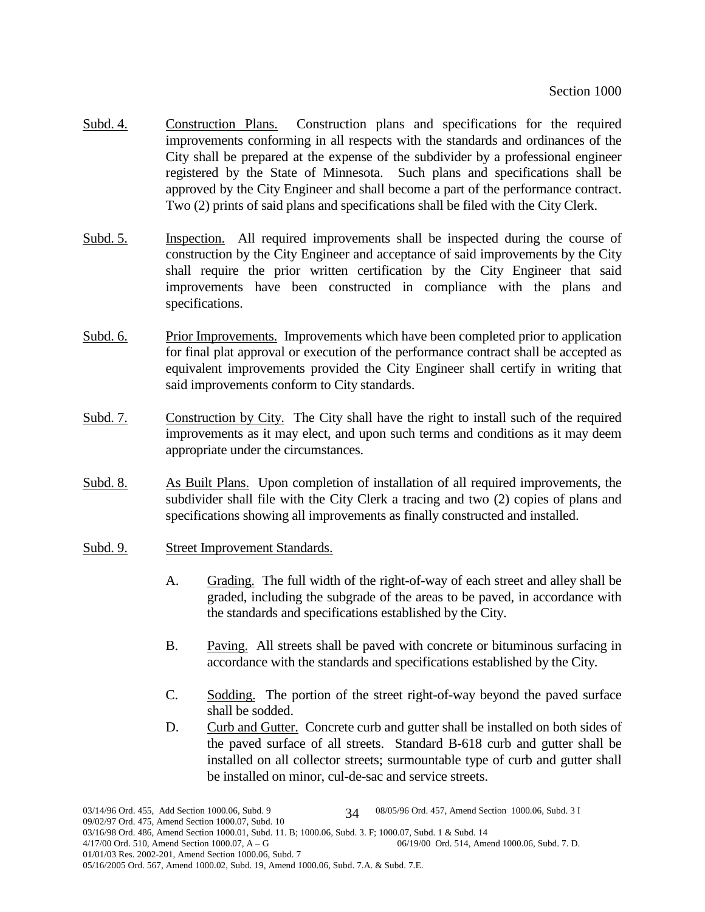- Subd. 4. Construction Plans. Construction plans and specifications for the required improvements conforming in all respects with the standards and ordinances of the City shall be prepared at the expense of the subdivider by a professional engineer registered by the State of Minnesota. Such plans and specifications shall be approved by the City Engineer and shall become a part of the performance contract. Two (2) prints of said plans and specifications shall be filed with the City Clerk.
- Subd. 5. Inspection. All required improvements shall be inspected during the course of construction by the City Engineer and acceptance of said improvements by the City shall require the prior written certification by the City Engineer that said improvements have been constructed in compliance with the plans and specifications.
- Subd. 6. Prior Improvements. Improvements which have been completed prior to application for final plat approval or execution of the performance contract shall be accepted as equivalent improvements provided the City Engineer shall certify in writing that said improvements conform to City standards.
- Subd. 7. Construction by City. The City shall have the right to install such of the required improvements as it may elect, and upon such terms and conditions as it may deem appropriate under the circumstances.
- Subd. 8. As Built Plans. Upon completion of installation of all required improvements, the subdivider shall file with the City Clerk a tracing and two (2) copies of plans and specifications showing all improvements as finally constructed and installed.
- Subd. 9. Street Improvement Standards.
	- A. Grading. The full width of the right-of-way of each street and alley shall be graded, including the subgrade of the areas to be paved, in accordance with the standards and specifications established by the City.
	- B. Paving. All streets shall be paved with concrete or bituminous surfacing in accordance with the standards and specifications established by the City.
	- C. Sodding. The portion of the street right-of-way beyond the paved surface shall be sodded.
	- D. Curb and Gutter. Concrete curb and gutter shall be installed on both sides of the paved surface of all streets. Standard B-618 curb and gutter shall be installed on all collector streets; surmountable type of curb and gutter shall be installed on minor, cul-de-sac and service streets.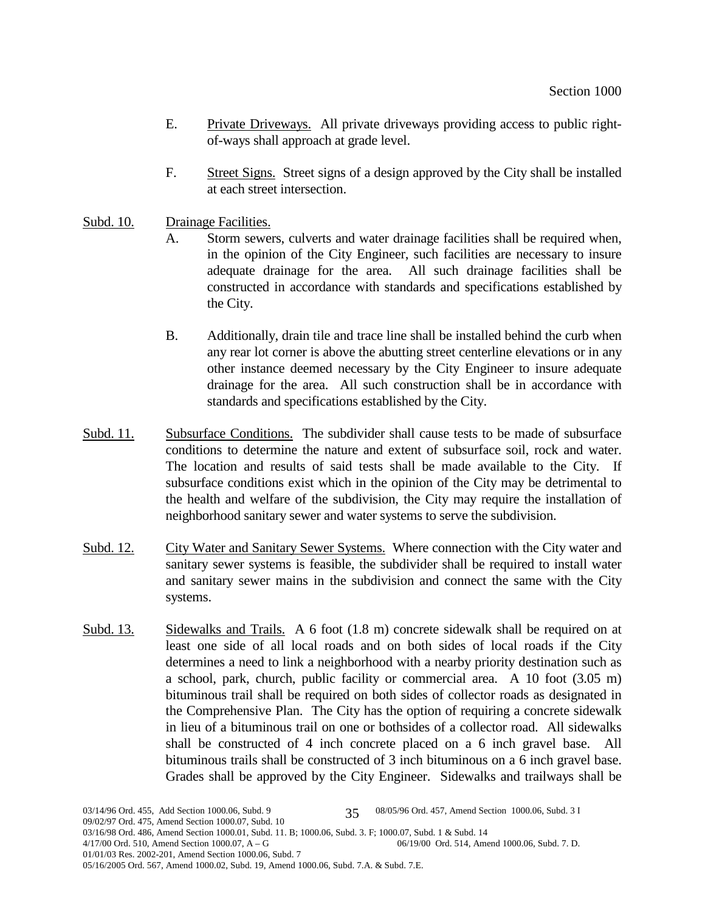- E. Private Driveways. All private driveways providing access to public rightof-ways shall approach at grade level.
- F. Street Signs. Street signs of a design approved by the City shall be installed at each street intersection.
- Subd. 10. Drainage Facilities.
	- A. Storm sewers, culverts and water drainage facilities shall be required when, in the opinion of the City Engineer, such facilities are necessary to insure adequate drainage for the area. All such drainage facilities shall be constructed in accordance with standards and specifications established by the City.
	- B. Additionally, drain tile and trace line shall be installed behind the curb when any rear lot corner is above the abutting street centerline elevations or in any other instance deemed necessary by the City Engineer to insure adequate drainage for the area. All such construction shall be in accordance with standards and specifications established by the City.
- Subd. 11. Subsurface Conditions. The subdivider shall cause tests to be made of subsurface conditions to determine the nature and extent of subsurface soil, rock and water. The location and results of said tests shall be made available to the City. If subsurface conditions exist which in the opinion of the City may be detrimental to the health and welfare of the subdivision, the City may require the installation of neighborhood sanitary sewer and water systems to serve the subdivision.
- Subd. 12. City Water and Sanitary Sewer Systems. Where connection with the City water and sanitary sewer systems is feasible, the subdivider shall be required to install water and sanitary sewer mains in the subdivision and connect the same with the City systems.
- Subd. 13. Sidewalks and Trails. A 6 foot (1.8 m) concrete sidewalk shall be required on at least one side of all local roads and on both sides of local roads if the City determines a need to link a neighborhood with a nearby priority destination such as a school, park, church, public facility or commercial area. A 10 foot (3.05 m) bituminous trail shall be required on both sides of collector roads as designated in the Comprehensive Plan. The City has the option of requiring a concrete sidewalk in lieu of a bituminous trail on one or bothsides of a collector road. All sidewalks shall be constructed of 4 inch concrete placed on a 6 inch gravel base. All bituminous trails shall be constructed of 3 inch bituminous on a 6 inch gravel base. Grades shall be approved by the City Engineer. Sidewalks and trailways shall be

<sup>05/16/2005</sup> Ord. 567, Amend 1000.02, Subd. 19, Amend 1000.06, Subd. 7.A. & Subd. 7.E.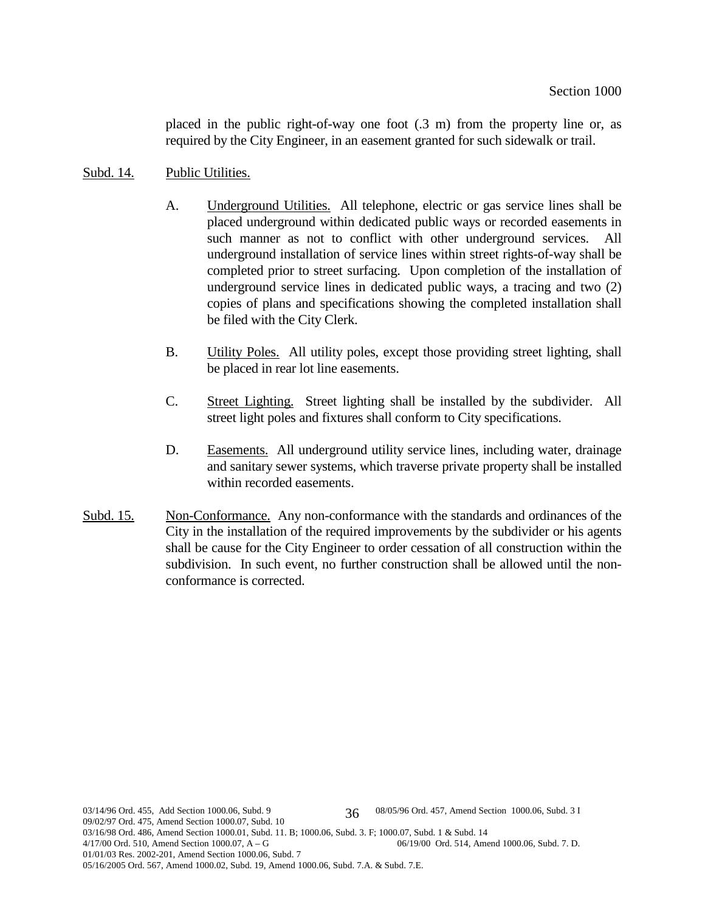placed in the public right-of-way one foot (.3 m) from the property line or, as required by the City Engineer, in an easement granted for such sidewalk or trail.

### Subd. 14. Public Utilities.

- A. Underground Utilities. All telephone, electric or gas service lines shall be placed underground within dedicated public ways or recorded easements in such manner as not to conflict with other underground services. All underground installation of service lines within street rights-of-way shall be completed prior to street surfacing. Upon completion of the installation of underground service lines in dedicated public ways, a tracing and two (2) copies of plans and specifications showing the completed installation shall be filed with the City Clerk.
- B. Utility Poles. All utility poles, except those providing street lighting, shall be placed in rear lot line easements.
- C. Street Lighting. Street lighting shall be installed by the subdivider. All street light poles and fixtures shall conform to City specifications.
- D. Easements. All underground utility service lines, including water, drainage and sanitary sewer systems, which traverse private property shall be installed within recorded easements.
- Subd. 15. Non-Conformance. Any non-conformance with the standards and ordinances of the City in the installation of the required improvements by the subdivider or his agents shall be cause for the City Engineer to order cessation of all construction within the subdivision. In such event, no further construction shall be allowed until the nonconformance is corrected.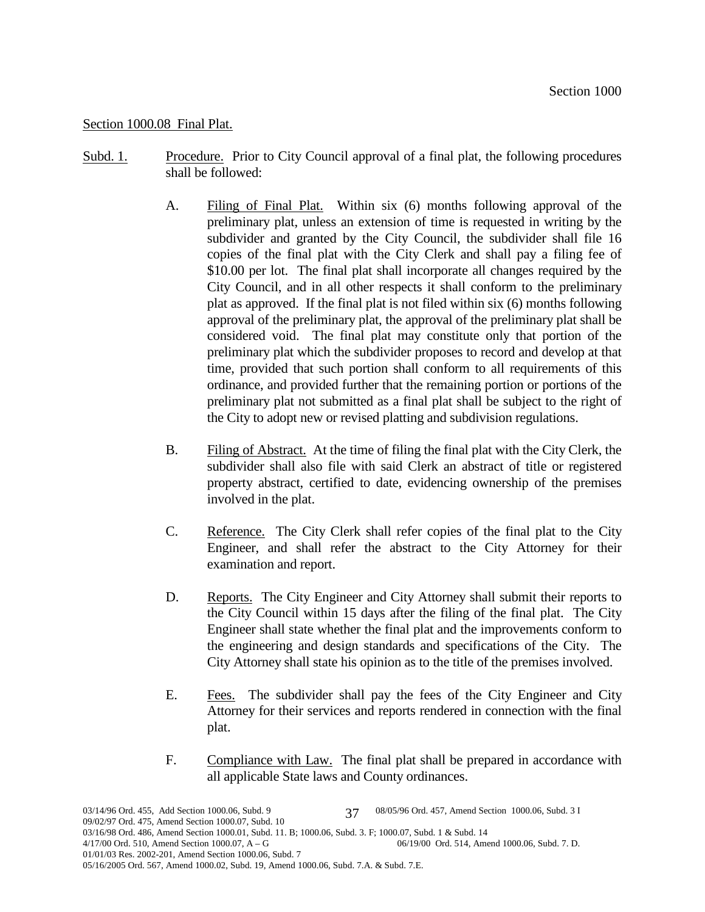# Section 1000.08 Final Plat.

- Subd. 1. Procedure. Prior to City Council approval of a final plat, the following procedures shall be followed:
	- A. Filing of Final Plat. Within six (6) months following approval of the preliminary plat, unless an extension of time is requested in writing by the subdivider and granted by the City Council, the subdivider shall file 16 copies of the final plat with the City Clerk and shall pay a filing fee of \$10.00 per lot. The final plat shall incorporate all changes required by the City Council, and in all other respects it shall conform to the preliminary plat as approved. If the final plat is not filed within six (6) months following approval of the preliminary plat, the approval of the preliminary plat shall be considered void. The final plat may constitute only that portion of the preliminary plat which the subdivider proposes to record and develop at that time, provided that such portion shall conform to all requirements of this ordinance, and provided further that the remaining portion or portions of the preliminary plat not submitted as a final plat shall be subject to the right of the City to adopt new or revised platting and subdivision regulations.
	- B. Filing of Abstract. At the time of filing the final plat with the City Clerk, the subdivider shall also file with said Clerk an abstract of title or registered property abstract, certified to date, evidencing ownership of the premises involved in the plat.
	- C. Reference. The City Clerk shall refer copies of the final plat to the City Engineer, and shall refer the abstract to the City Attorney for their examination and report.
	- D. Reports. The City Engineer and City Attorney shall submit their reports to the City Council within 15 days after the filing of the final plat. The City Engineer shall state whether the final plat and the improvements conform to the engineering and design standards and specifications of the City. The City Attorney shall state his opinion as to the title of the premises involved.
	- E. Fees. The subdivider shall pay the fees of the City Engineer and City Attorney for their services and reports rendered in connection with the final plat.
	- F. Compliance with Law. The final plat shall be prepared in accordance with all applicable State laws and County ordinances.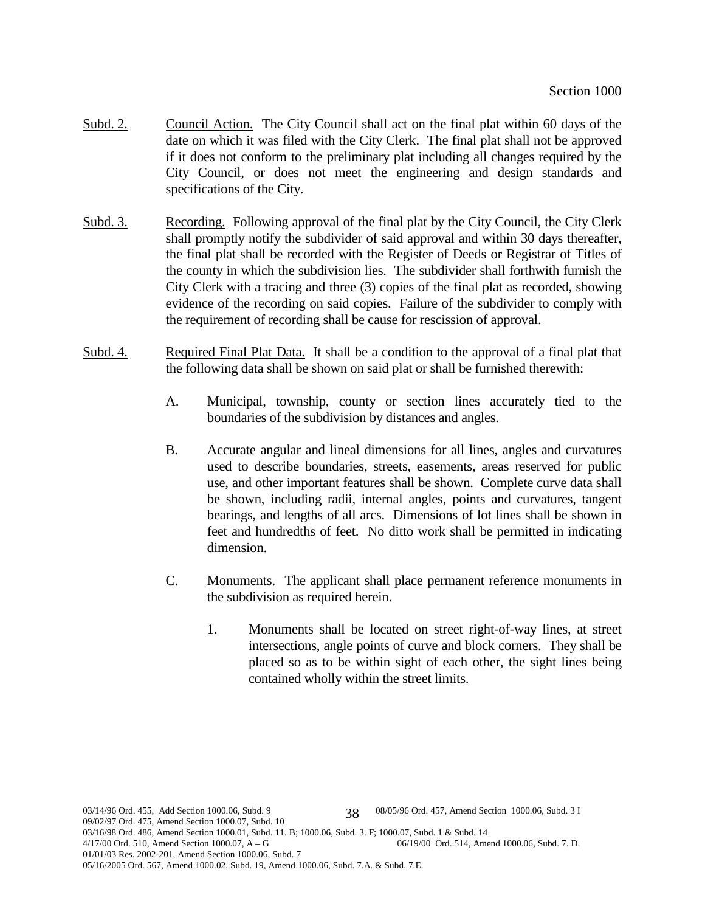- Subd. 2. Council Action. The City Council shall act on the final plat within 60 days of the date on which it was filed with the City Clerk. The final plat shall not be approved if it does not conform to the preliminary plat including all changes required by the City Council, or does not meet the engineering and design standards and specifications of the City.
- Subd. 3. Recording. Following approval of the final plat by the City Council, the City Clerk shall promptly notify the subdivider of said approval and within 30 days thereafter, the final plat shall be recorded with the Register of Deeds or Registrar of Titles of the county in which the subdivision lies. The subdivider shall forthwith furnish the City Clerk with a tracing and three (3) copies of the final plat as recorded, showing evidence of the recording on said copies. Failure of the subdivider to comply with the requirement of recording shall be cause for rescission of approval.
- Subd. 4. Required Final Plat Data. It shall be a condition to the approval of a final plat that the following data shall be shown on said plat or shall be furnished therewith:
	- A. Municipal, township, county or section lines accurately tied to the boundaries of the subdivision by distances and angles.
	- B. Accurate angular and lineal dimensions for all lines, angles and curvatures used to describe boundaries, streets, easements, areas reserved for public use, and other important features shall be shown. Complete curve data shall be shown, including radii, internal angles, points and curvatures, tangent bearings, and lengths of all arcs. Dimensions of lot lines shall be shown in feet and hundredths of feet. No ditto work shall be permitted in indicating dimension.
	- C. Monuments. The applicant shall place permanent reference monuments in the subdivision as required herein.
		- 1. Monuments shall be located on street right-of-way lines, at street intersections, angle points of curve and block corners. They shall be placed so as to be within sight of each other, the sight lines being contained wholly within the street limits.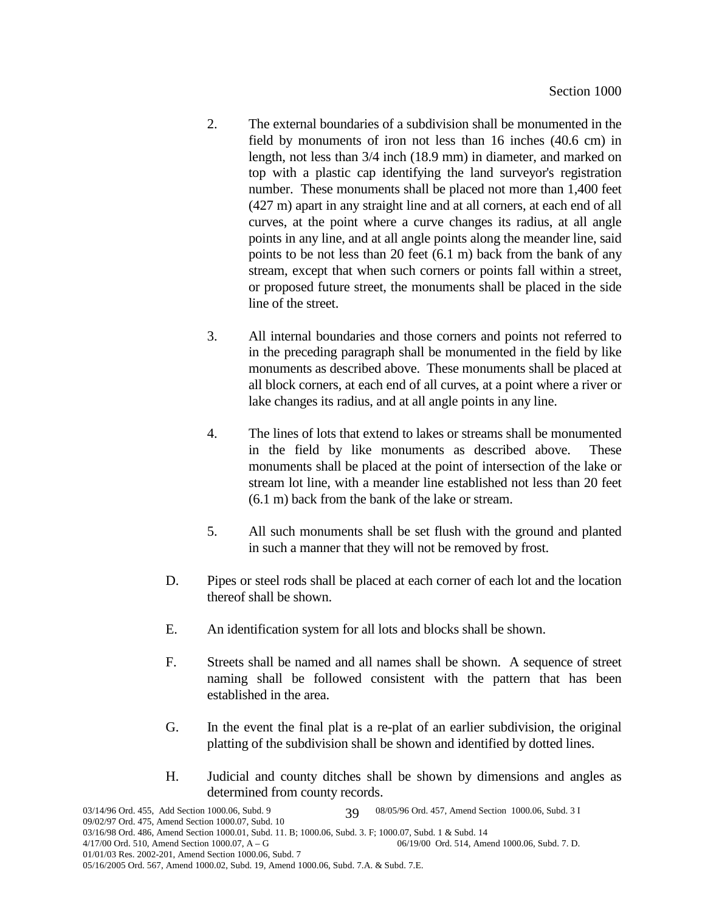- 2. The external boundaries of a subdivision shall be monumented in the field by monuments of iron not less than 16 inches (40.6 cm) in length, not less than 3/4 inch (18.9 mm) in diameter, and marked on top with a plastic cap identifying the land surveyor's registration number. These monuments shall be placed not more than 1,400 feet (427 m) apart in any straight line and at all corners, at each end of all curves, at the point where a curve changes its radius, at all angle points in any line, and at all angle points along the meander line, said points to be not less than 20 feet (6.1 m) back from the bank of any stream, except that when such corners or points fall within a street, or proposed future street, the monuments shall be placed in the side line of the street.
- 3. All internal boundaries and those corners and points not referred to in the preceding paragraph shall be monumented in the field by like monuments as described above. These monuments shall be placed at all block corners, at each end of all curves, at a point where a river or lake changes its radius, and at all angle points in any line.
- 4. The lines of lots that extend to lakes or streams shall be monumented in the field by like monuments as described above. These monuments shall be placed at the point of intersection of the lake or stream lot line, with a meander line established not less than 20 feet (6.1 m) back from the bank of the lake or stream.
- 5. All such monuments shall be set flush with the ground and planted in such a manner that they will not be removed by frost.
- D. Pipes or steel rods shall be placed at each corner of each lot and the location thereof shall be shown.
- E. An identification system for all lots and blocks shall be shown.
- F. Streets shall be named and all names shall be shown. A sequence of street naming shall be followed consistent with the pattern that has been established in the area.
- G. In the event the final plat is a re-plat of an earlier subdivision, the original platting of the subdivision shall be shown and identified by dotted lines.
- H. Judicial and county ditches shall be shown by dimensions and angles as determined from county records.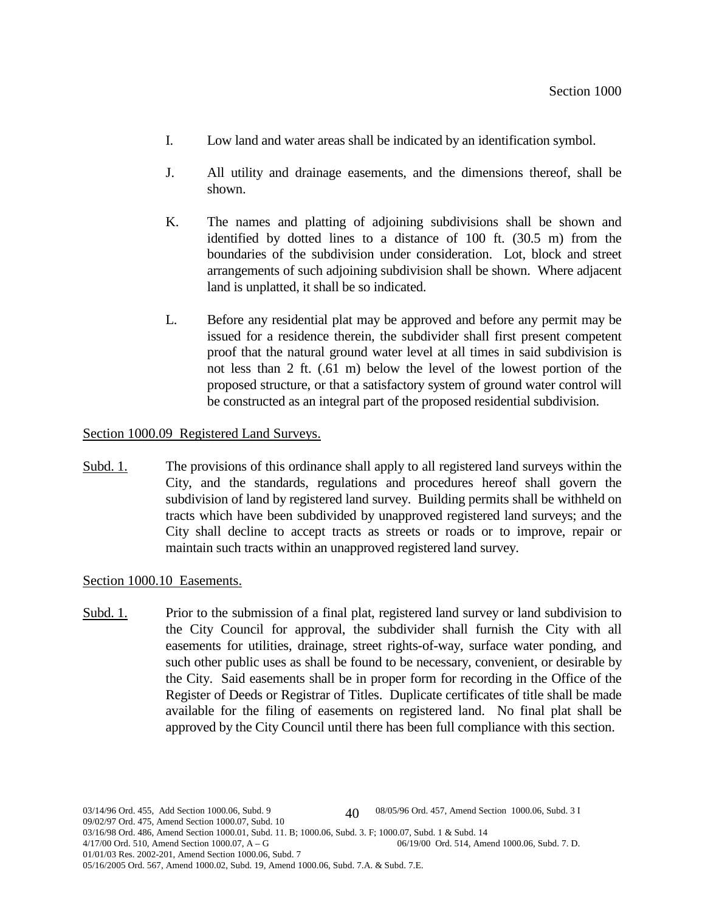- I. Low land and water areas shall be indicated by an identification symbol.
- J. All utility and drainage easements, and the dimensions thereof, shall be shown.
- K. The names and platting of adjoining subdivisions shall be shown and identified by dotted lines to a distance of 100 ft. (30.5 m) from the boundaries of the subdivision under consideration. Lot, block and street arrangements of such adjoining subdivision shall be shown. Where adjacent land is unplatted, it shall be so indicated.
- L. Before any residential plat may be approved and before any permit may be issued for a residence therein, the subdivider shall first present competent proof that the natural ground water level at all times in said subdivision is not less than 2 ft. (.61 m) below the level of the lowest portion of the proposed structure, or that a satisfactory system of ground water control will be constructed as an integral part of the proposed residential subdivision.

# Section 1000.09 Registered Land Surveys.

Subd. 1. The provisions of this ordinance shall apply to all registered land surveys within the City, and the standards, regulations and procedures hereof shall govern the subdivision of land by registered land survey. Building permits shall be withheld on tracts which have been subdivided by unapproved registered land surveys; and the City shall decline to accept tracts as streets or roads or to improve, repair or maintain such tracts within an unapproved registered land survey.

### Section 1000.10 Easements.

Subd. 1. Prior to the submission of a final plat, registered land survey or land subdivision to the City Council for approval, the subdivider shall furnish the City with all easements for utilities, drainage, street rights-of-way, surface water ponding, and such other public uses as shall be found to be necessary, convenient, or desirable by the City. Said easements shall be in proper form for recording in the Office of the Register of Deeds or Registrar of Titles. Duplicate certificates of title shall be made available for the filing of easements on registered land. No final plat shall be approved by the City Council until there has been full compliance with this section.